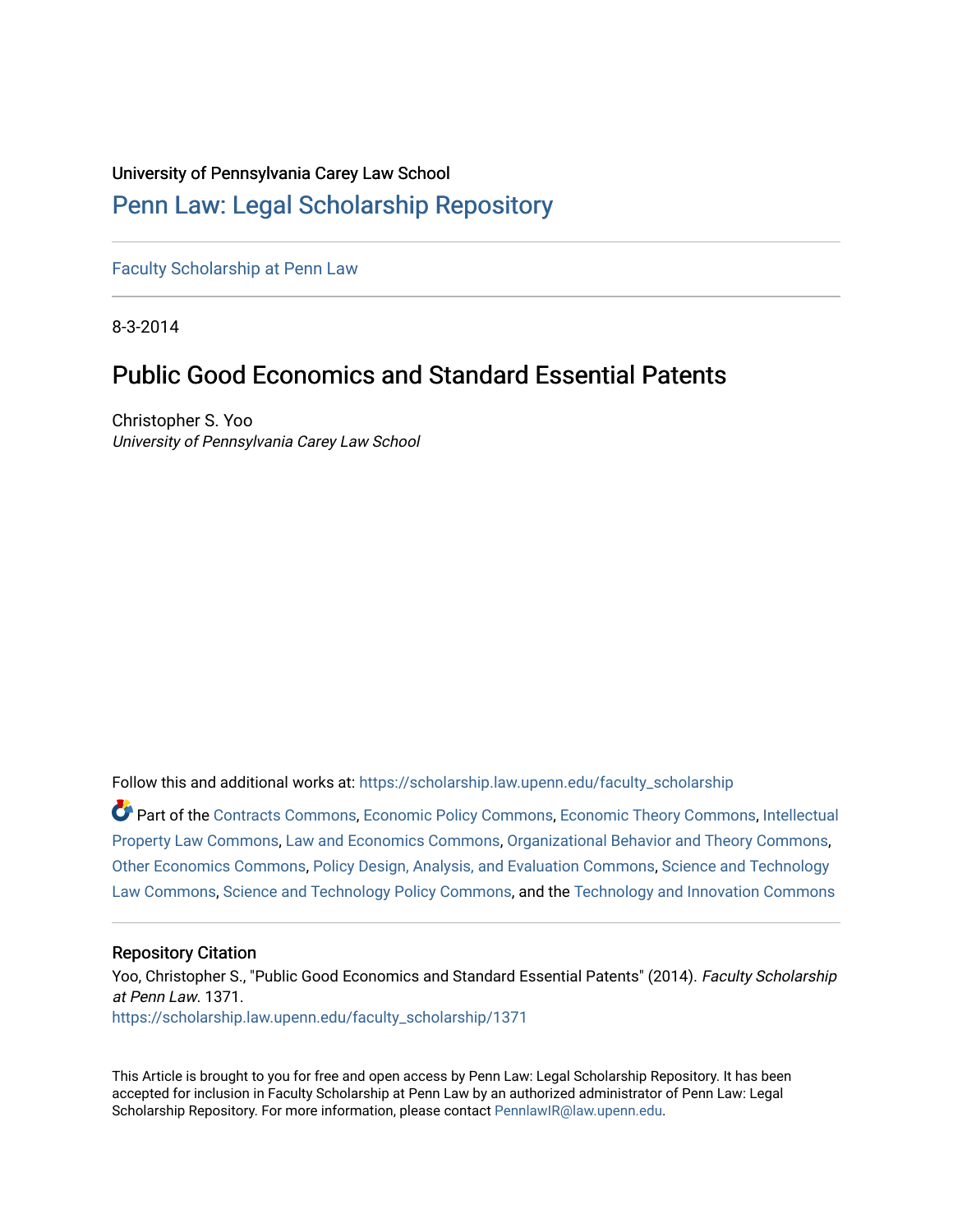#### University of Pennsylvania Carey Law School

# [Penn Law: Legal Scholarship Repository](https://scholarship.law.upenn.edu/)

[Faculty Scholarship at Penn Law](https://scholarship.law.upenn.edu/faculty_scholarship)

8-3-2014

# Public Good Economics and Standard Essential Patents

Christopher S. Yoo University of Pennsylvania Carey Law School

Follow this and additional works at: [https://scholarship.law.upenn.edu/faculty\\_scholarship](https://scholarship.law.upenn.edu/faculty_scholarship?utm_source=scholarship.law.upenn.edu%2Ffaculty_scholarship%2F1371&utm_medium=PDF&utm_campaign=PDFCoverPages) 

Part of the [Contracts Commons](http://network.bepress.com/hgg/discipline/591?utm_source=scholarship.law.upenn.edu%2Ffaculty_scholarship%2F1371&utm_medium=PDF&utm_campaign=PDFCoverPages), [Economic Policy Commons,](http://network.bepress.com/hgg/discipline/1025?utm_source=scholarship.law.upenn.edu%2Ffaculty_scholarship%2F1371&utm_medium=PDF&utm_campaign=PDFCoverPages) [Economic Theory Commons,](http://network.bepress.com/hgg/discipline/344?utm_source=scholarship.law.upenn.edu%2Ffaculty_scholarship%2F1371&utm_medium=PDF&utm_campaign=PDFCoverPages) [Intellectual](http://network.bepress.com/hgg/discipline/896?utm_source=scholarship.law.upenn.edu%2Ffaculty_scholarship%2F1371&utm_medium=PDF&utm_campaign=PDFCoverPages) [Property Law Commons](http://network.bepress.com/hgg/discipline/896?utm_source=scholarship.law.upenn.edu%2Ffaculty_scholarship%2F1371&utm_medium=PDF&utm_campaign=PDFCoverPages), [Law and Economics Commons](http://network.bepress.com/hgg/discipline/612?utm_source=scholarship.law.upenn.edu%2Ffaculty_scholarship%2F1371&utm_medium=PDF&utm_campaign=PDFCoverPages), [Organizational Behavior and Theory Commons](http://network.bepress.com/hgg/discipline/639?utm_source=scholarship.law.upenn.edu%2Ffaculty_scholarship%2F1371&utm_medium=PDF&utm_campaign=PDFCoverPages), [Other Economics Commons,](http://network.bepress.com/hgg/discipline/353?utm_source=scholarship.law.upenn.edu%2Ffaculty_scholarship%2F1371&utm_medium=PDF&utm_campaign=PDFCoverPages) [Policy Design, Analysis, and Evaluation Commons,](http://network.bepress.com/hgg/discipline/1032?utm_source=scholarship.law.upenn.edu%2Ffaculty_scholarship%2F1371&utm_medium=PDF&utm_campaign=PDFCoverPages) [Science and Technology](http://network.bepress.com/hgg/discipline/875?utm_source=scholarship.law.upenn.edu%2Ffaculty_scholarship%2F1371&utm_medium=PDF&utm_campaign=PDFCoverPages) [Law Commons,](http://network.bepress.com/hgg/discipline/875?utm_source=scholarship.law.upenn.edu%2Ffaculty_scholarship%2F1371&utm_medium=PDF&utm_campaign=PDFCoverPages) [Science and Technology Policy Commons,](http://network.bepress.com/hgg/discipline/1029?utm_source=scholarship.law.upenn.edu%2Ffaculty_scholarship%2F1371&utm_medium=PDF&utm_campaign=PDFCoverPages) and the [Technology and Innovation Commons](http://network.bepress.com/hgg/discipline/644?utm_source=scholarship.law.upenn.edu%2Ffaculty_scholarship%2F1371&utm_medium=PDF&utm_campaign=PDFCoverPages) 

#### Repository Citation

Yoo, Christopher S., "Public Good Economics and Standard Essential Patents" (2014). Faculty Scholarship at Penn Law. 1371. [https://scholarship.law.upenn.edu/faculty\\_scholarship/1371](https://scholarship.law.upenn.edu/faculty_scholarship/1371?utm_source=scholarship.law.upenn.edu%2Ffaculty_scholarship%2F1371&utm_medium=PDF&utm_campaign=PDFCoverPages)

This Article is brought to you for free and open access by Penn Law: Legal Scholarship Repository. It has been accepted for inclusion in Faculty Scholarship at Penn Law by an authorized administrator of Penn Law: Legal Scholarship Repository. For more information, please contact [PennlawIR@law.upenn.edu.](mailto:PennlawIR@law.upenn.edu)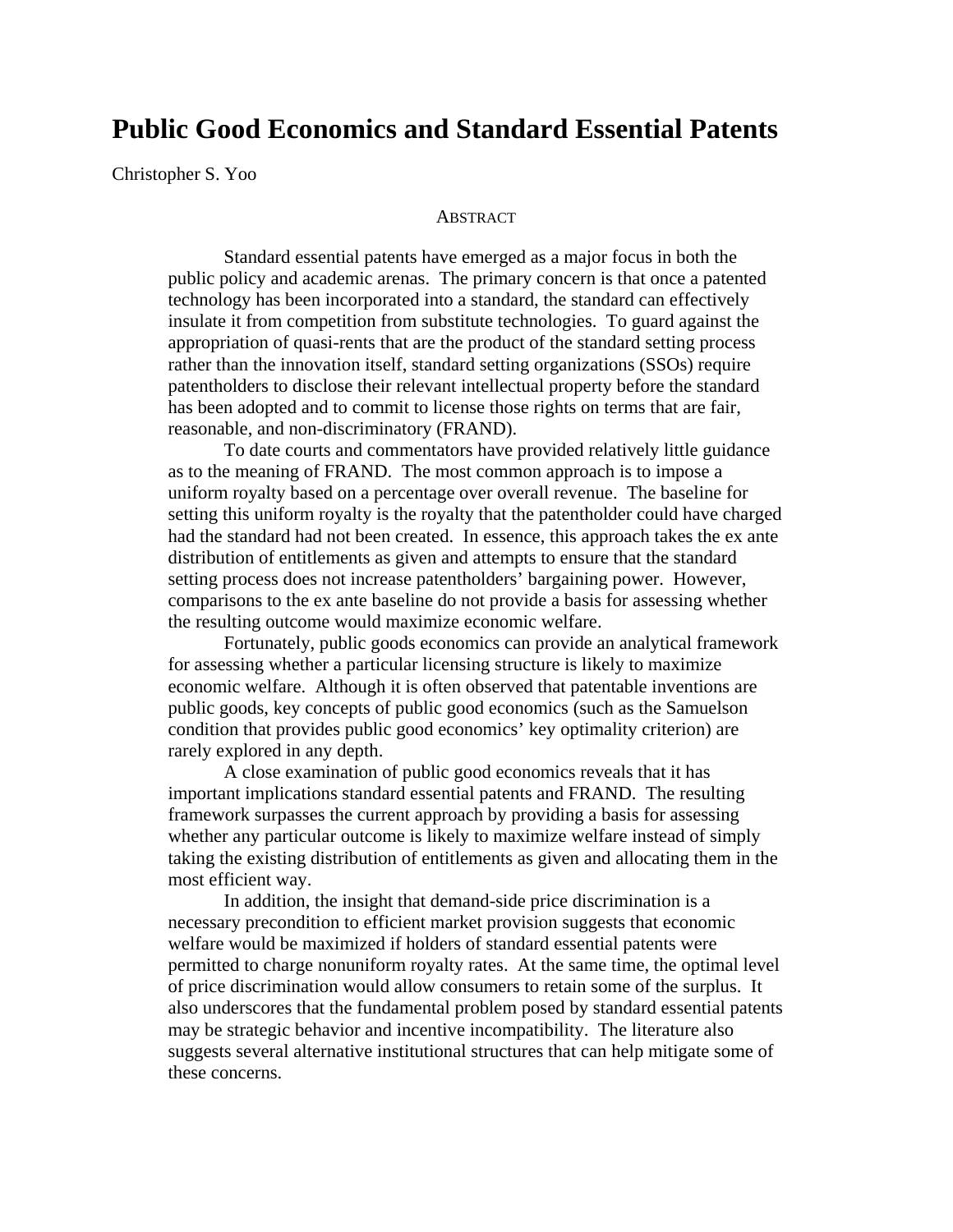# **Public Good Economics and Standard Essential Patents**

Christopher S. Yoo

#### **ABSTRACT**

 Standard essential patents have emerged as a major focus in both the public policy and academic arenas. The primary concern is that once a patented technology has been incorporated into a standard, the standard can effectively insulate it from competition from substitute technologies. To guard against the appropriation of quasi-rents that are the product of the standard setting process rather than the innovation itself, standard setting organizations (SSOs) require patentholders to disclose their relevant intellectual property before the standard has been adopted and to commit to license those rights on terms that are fair, reasonable, and non-discriminatory (FRAND).

 To date courts and commentators have provided relatively little guidance as to the meaning of FRAND. The most common approach is to impose a uniform royalty based on a percentage over overall revenue. The baseline for setting this uniform royalty is the royalty that the patentholder could have charged had the standard had not been created. In essence, this approach takes the ex ante distribution of entitlements as given and attempts to ensure that the standard setting process does not increase patentholders' bargaining power. However, comparisons to the ex ante baseline do not provide a basis for assessing whether the resulting outcome would maximize economic welfare.

 Fortunately, public goods economics can provide an analytical framework for assessing whether a particular licensing structure is likely to maximize economic welfare. Although it is often observed that patentable inventions are public goods, key concepts of public good economics (such as the Samuelson condition that provides public good economics' key optimality criterion) are rarely explored in any depth.

 A close examination of public good economics reveals that it has important implications standard essential patents and FRAND. The resulting framework surpasses the current approach by providing a basis for assessing whether any particular outcome is likely to maximize welfare instead of simply taking the existing distribution of entitlements as given and allocating them in the most efficient way.

 In addition, the insight that demand-side price discrimination is a necessary precondition to efficient market provision suggests that economic welfare would be maximized if holders of standard essential patents were permitted to charge nonuniform royalty rates. At the same time, the optimal level of price discrimination would allow consumers to retain some of the surplus. It also underscores that the fundamental problem posed by standard essential patents may be strategic behavior and incentive incompatibility. The literature also suggests several alternative institutional structures that can help mitigate some of these concerns.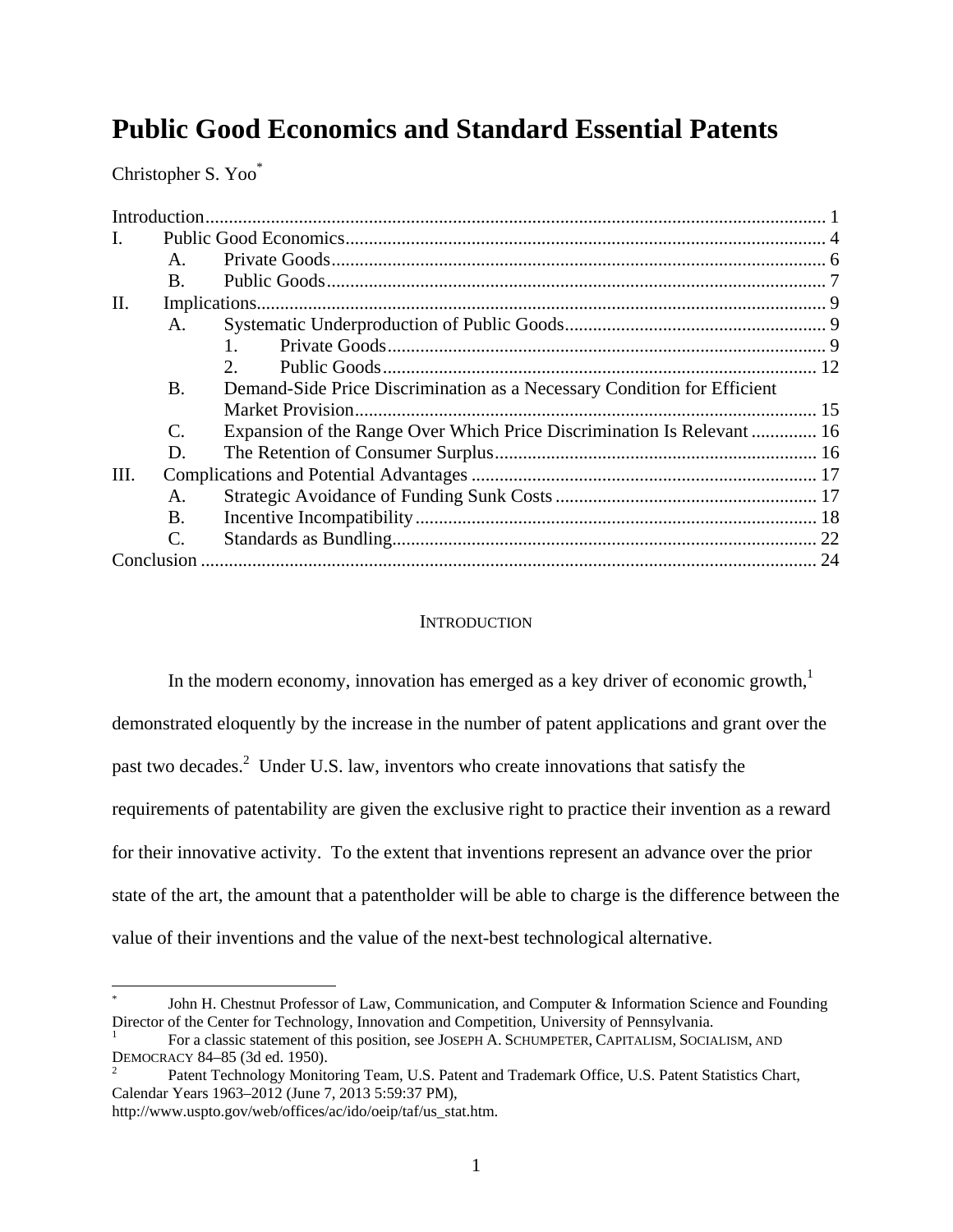# **Public Good Economics and Standard Essential Patents**

Christopher S. Yoo\*

| $\mathbf{L}$    |                 |                                                                         |  |
|-----------------|-----------------|-------------------------------------------------------------------------|--|
|                 | $\mathsf{A}$ .  |                                                                         |  |
|                 | B.              |                                                                         |  |
| $\mathbf{II}$ . |                 |                                                                         |  |
|                 | A.              |                                                                         |  |
|                 |                 |                                                                         |  |
|                 |                 | $\mathcal{D}_{\alpha}$                                                  |  |
|                 | <b>B.</b>       | Demand-Side Price Discrimination as a Necessary Condition for Efficient |  |
|                 |                 |                                                                         |  |
|                 | C.              | Expansion of the Range Over Which Price Discrimination Is Relevant  16  |  |
|                 | D.              |                                                                         |  |
| Ш.              |                 |                                                                         |  |
|                 | A.              |                                                                         |  |
|                 | B.              |                                                                         |  |
|                 | $\mathcal{C}$ . |                                                                         |  |
|                 |                 |                                                                         |  |

## **INTRODUCTION**

In the modern economy, innovation has emerged as a key driver of economic growth, $<sup>1</sup>$ </sup> demonstrated eloquently by the increase in the number of patent applications and grant over the past two decades.<sup>2</sup> Under U.S. law, inventors who create innovations that satisfy the requirements of patentability are given the exclusive right to practice their invention as a reward for their innovative activity. To the extent that inventions represent an advance over the prior state of the art, the amount that a patentholder will be able to charge is the difference between the value of their inventions and the value of the next-best technological alternative.

 $\overline{a}$ 

<sup>\*</sup> John H. Chestnut Professor of Law, Communication, and Computer & Information Science and Founding Director of the Center for Technology, Innovation and Competition, University of Pennsylvania. 1

For a classic statement of this position, see JOSEPH A. SCHUMPETER, CAPITALISM, SOCIALISM, AND DEMOCRACY 84–85 (3d ed. 1950). 2

Patent Technology Monitoring Team, U.S. Patent and Trademark Office, U.S. Patent Statistics Chart, Calendar Years 1963–2012 (June 7, 2013 5:59:37 PM),

http://www.uspto.gov/web/offices/ac/ido/oeip/taf/us\_stat.htm.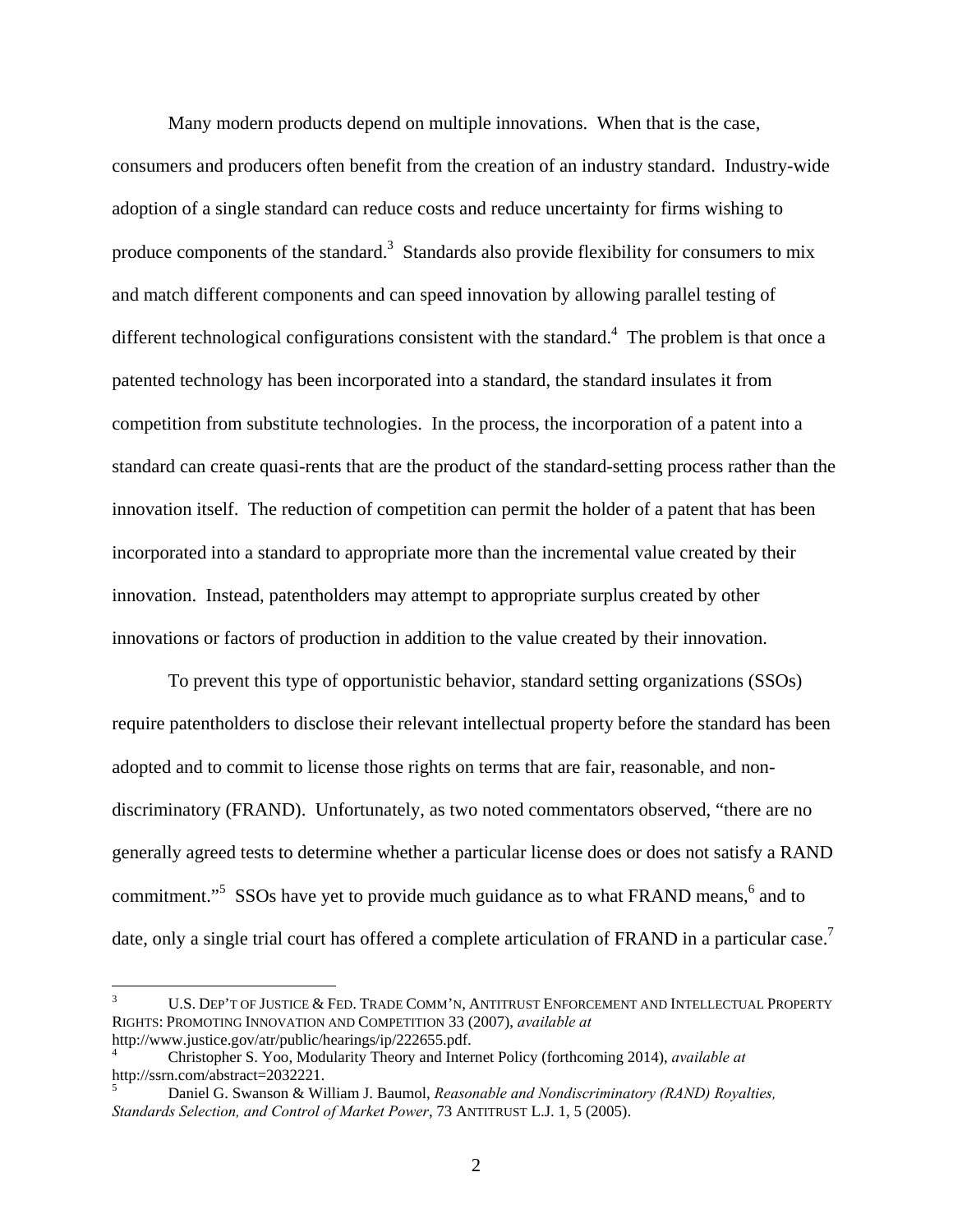Many modern products depend on multiple innovations. When that is the case, consumers and producers often benefit from the creation of an industry standard. Industry-wide adoption of a single standard can reduce costs and reduce uncertainty for firms wishing to produce components of the standard.<sup>3</sup> Standards also provide flexibility for consumers to mix and match different components and can speed innovation by allowing parallel testing of different technological configurations consistent with the standard.<sup>4</sup> The problem is that once a patented technology has been incorporated into a standard, the standard insulates it from competition from substitute technologies. In the process, the incorporation of a patent into a standard can create quasi-rents that are the product of the standard-setting process rather than the innovation itself. The reduction of competition can permit the holder of a patent that has been incorporated into a standard to appropriate more than the incremental value created by their innovation. Instead, patentholders may attempt to appropriate surplus created by other innovations or factors of production in addition to the value created by their innovation.

 To prevent this type of opportunistic behavior, standard setting organizations (SSOs) require patentholders to disclose their relevant intellectual property before the standard has been adopted and to commit to license those rights on terms that are fair, reasonable, and nondiscriminatory (FRAND). Unfortunately, as two noted commentators observed, "there are no generally agreed tests to determine whether a particular license does or does not satisfy a RAND commitment."<sup>5</sup> SSOs have yet to provide much guidance as to what FRAND means,  $6$  and to date, only a single trial court has offered a complete articulation of FRAND in a particular case.<sup>7</sup>

 $\overline{a}$ 

<sup>3</sup> U.S. DEP'T OF JUSTICE & FED. TRADE COMM'N, ANTITRUST ENFORCEMENT AND INTELLECTUAL PROPERTY RIGHTS: PROMOTING INNOVATION AND COMPETITION 33 (2007), *available at* http://www.justice.gov/atr/public/hearings/ip/222655.pdf. 4

Christopher S. Yoo, Modularity Theory and Internet Policy (forthcoming 2014), *available at* http://ssrn.com/abstract=2032221.

<sup>5</sup> Daniel G. Swanson & William J. Baumol, *Reasonable and Nondiscriminatory (RAND) Royalties, Standards Selection, and Control of Market Power*, 73 ANTITRUST L.J. 1, 5 (2005).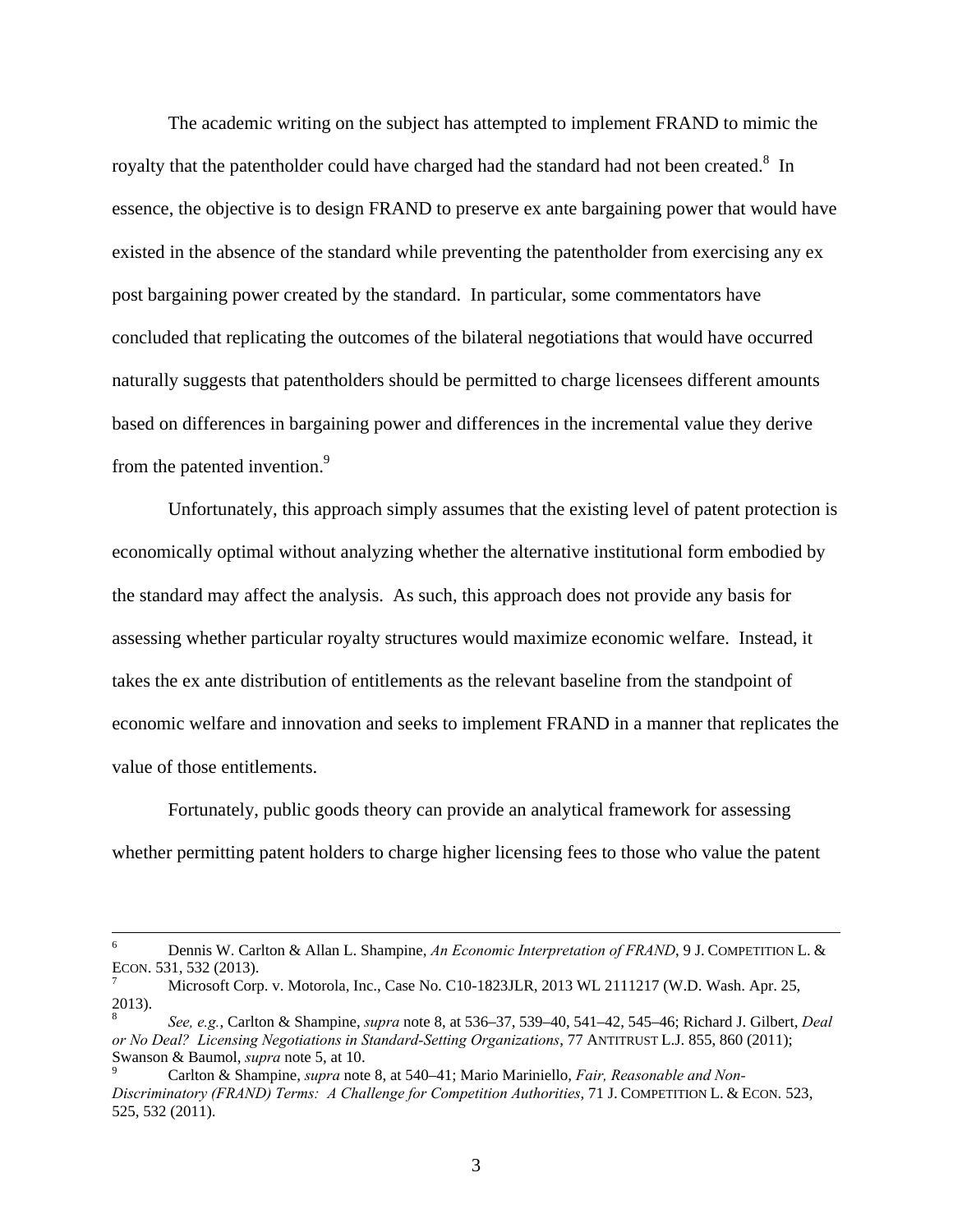The academic writing on the subject has attempted to implement FRAND to mimic the royalty that the patentholder could have charged had the standard had not been created. $8\,$  In essence, the objective is to design FRAND to preserve ex ante bargaining power that would have existed in the absence of the standard while preventing the patentholder from exercising any ex post bargaining power created by the standard. In particular, some commentators have concluded that replicating the outcomes of the bilateral negotiations that would have occurred naturally suggests that patentholders should be permitted to charge licensees different amounts based on differences in bargaining power and differences in the incremental value they derive from the patented invention.<sup>9</sup>

 Unfortunately, this approach simply assumes that the existing level of patent protection is economically optimal without analyzing whether the alternative institutional form embodied by the standard may affect the analysis. As such, this approach does not provide any basis for assessing whether particular royalty structures would maximize economic welfare. Instead, it takes the ex ante distribution of entitlements as the relevant baseline from the standpoint of economic welfare and innovation and seeks to implement FRAND in a manner that replicates the value of those entitlements.

 Fortunately, public goods theory can provide an analytical framework for assessing whether permitting patent holders to charge higher licensing fees to those who value the patent

 $\frac{1}{6}$  Dennis W. Carlton & Allan L. Shampine, *An Economic Interpretation of FRAND*, 9 J. COMPETITION L. & ECON. 531, 532 (2013). 7

Microsoft Corp. v. Motorola, Inc., Case No. C10-1823JLR, 2013 WL 2111217 (W.D. Wash. Apr. 25, 2013).

<sup>8</sup> *See, e.g.*, Carlton & Shampine, *supra* note 8, at 536–37, 539–40, 541–42, 545–46; Richard J. Gilbert, *Deal or No Deal? Licensing Negotiations in Standard-Setting Organizations*, 77 ANTITRUST L.J. 855, 860 (2011); Swanson & Baumol, *supra* note 5, at 10.

Carlton & Shampine, *supra* note 8, at 540–41; Mario Mariniello, *Fair, Reasonable and Non-Discriminatory (FRAND) Terms: A Challenge for Competition Authorities*, 71 J. COMPETITION L. & ECON. 523, 525, 532 (2011).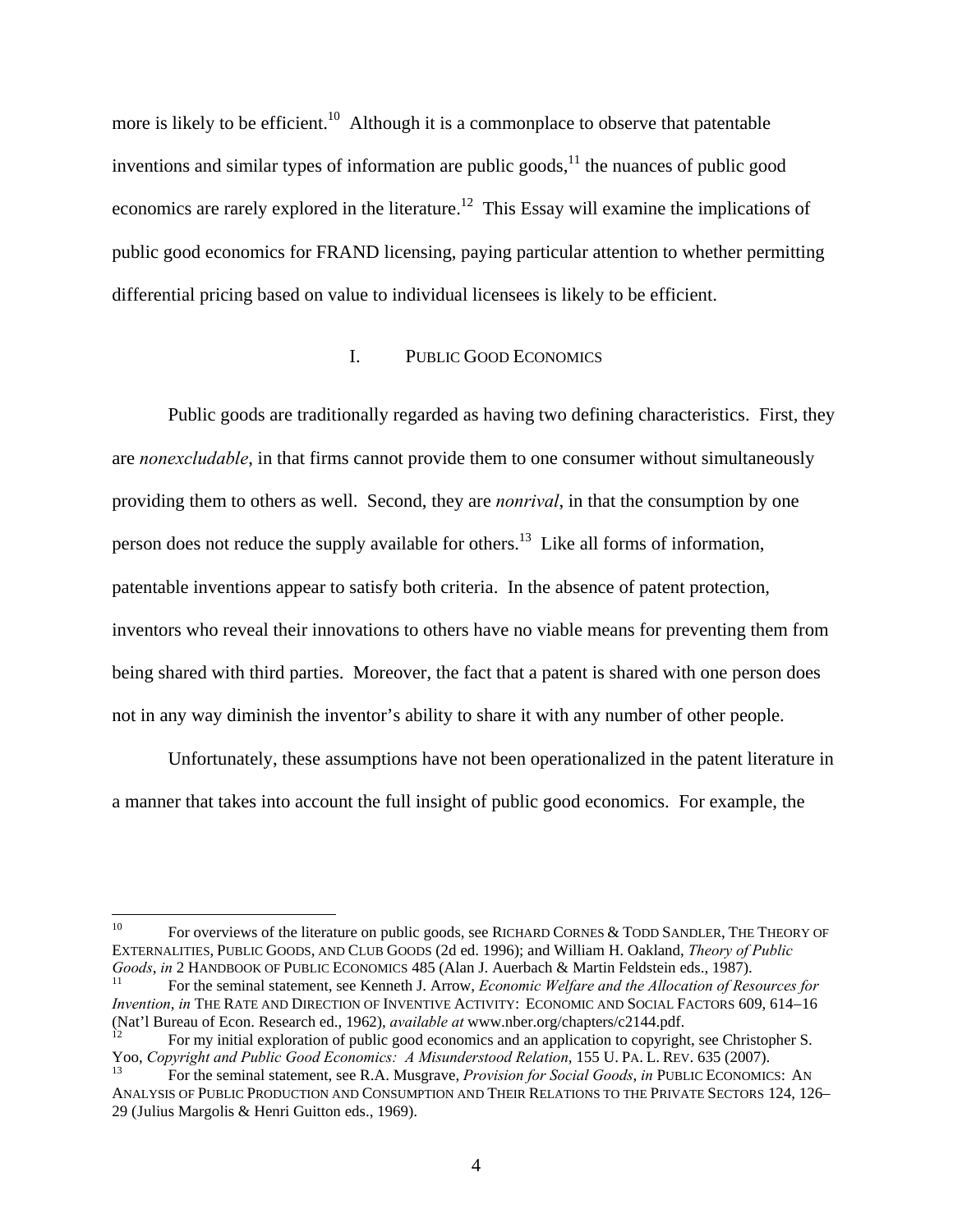more is likely to be efficient.<sup>10</sup> Although it is a commonplace to observe that patentable inventions and similar types of information are public goods, $11$  the nuances of public good economics are rarely explored in the literature.<sup>12</sup> This Essay will examine the implications of public good economics for FRAND licensing, paying particular attention to whether permitting differential pricing based on value to individual licensees is likely to be efficient.

#### I. PUBLIC GOOD ECONOMICS

 Public goods are traditionally regarded as having two defining characteristics. First, they are *nonexcludable*, in that firms cannot provide them to one consumer without simultaneously providing them to others as well. Second, they are *nonrival*, in that the consumption by one person does not reduce the supply available for others.<sup>13</sup> Like all forms of information, patentable inventions appear to satisfy both criteria. In the absence of patent protection, inventors who reveal their innovations to others have no viable means for preventing them from being shared with third parties. Moreover, the fact that a patent is shared with one person does not in any way diminish the inventor's ability to share it with any number of other people.

 Unfortunately, these assumptions have not been operationalized in the patent literature in a manner that takes into account the full insight of public good economics. For example, the

 $\overline{a}$ 

<sup>&</sup>lt;sup>10</sup> For overviews of the literature on public goods, see RICHARD CORNES & TODD SANDLER, THE THEORY OF EXTERNALITIES, PUBLIC GOODS, AND CLUB GOODS (2d ed. 1996); and William H. Oakland, *Theory of Public Goods*, *in* 2 HANDBOOK OF PUBLIC ECONOMICS 485 (Alan J. Auerbach & Martin Feldstein eds., 1987).<br><sup>11</sup> For the seminal statement, see Kenneth J. Arrow, *Economic Welfare and the Allocation of Resources for* 

*Invention*, *in* THE RATE AND DIRECTION OF INVENTIVE ACTIVITY: ECONOMIC AND SOCIAL FACTORS 609, 614–16 (Nat'l Bureau of Econ. Research ed., 1962), *available at* www.nber.org/chapters/c2144.pdf.<br><sup>12</sup> For my initial exploration of public good economics and an application to copyright, see Christopher S.

Yoo, *Copyright and Public Good Economics: A Misunderstood Relation*, 155 U. PA. L. REV. 635 (2007).<br><sup>13</sup> For the seminal statement, see R.A. Musgrave, *Provision for Social Goods*, *in* PUBLIC ECONOMICS: AN

ANALYSIS OF PUBLIC PRODUCTION AND CONSUMPTION AND THEIR RELATIONS TO THE PRIVATE SECTORS 124, 126– 29 (Julius Margolis & Henri Guitton eds., 1969).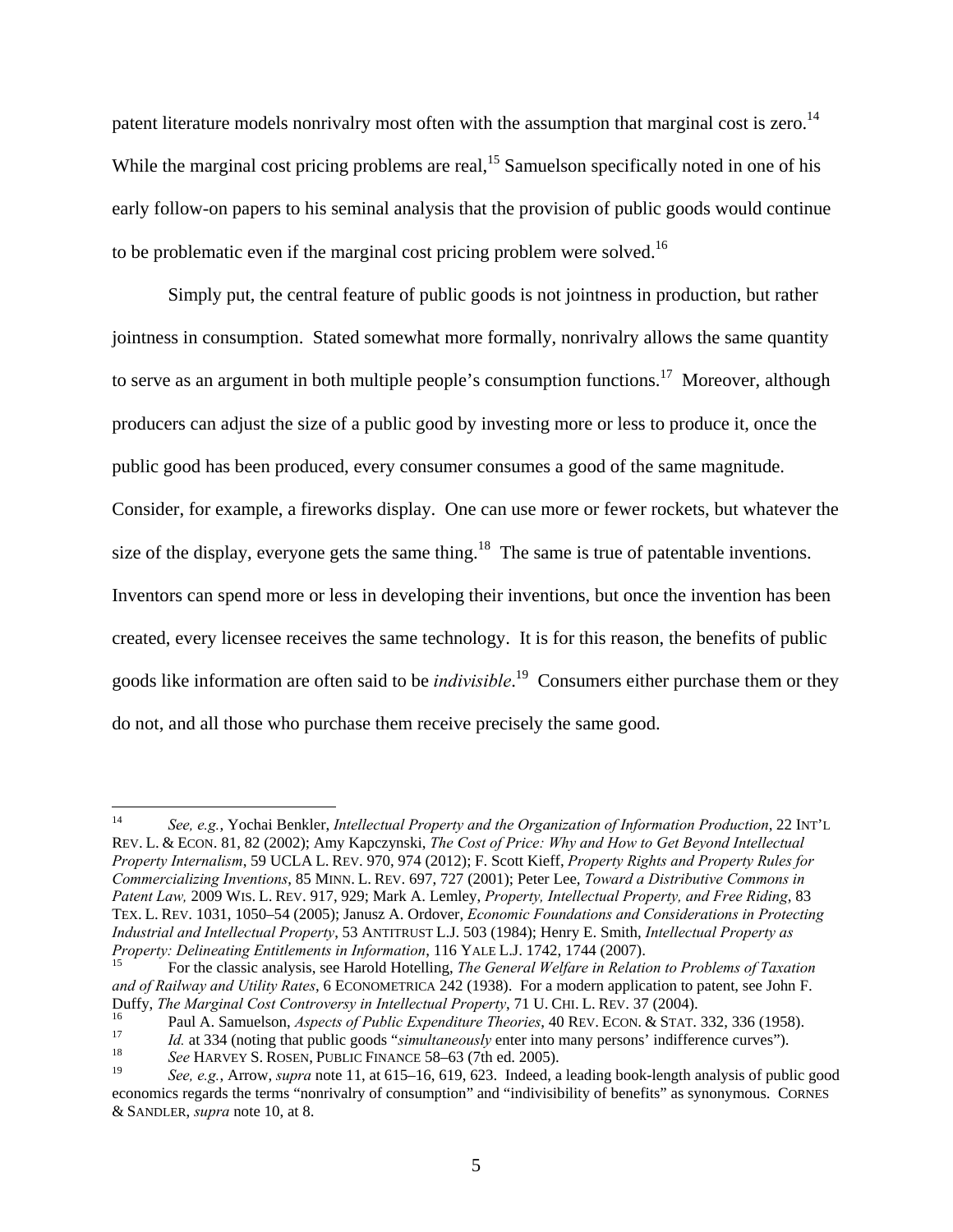patent literature models nonrivalry most often with the assumption that marginal cost is zero.<sup>14</sup> While the marginal cost pricing problems are real,<sup>15</sup> Samuelson specifically noted in one of his early follow-on papers to his seminal analysis that the provision of public goods would continue to be problematic even if the marginal cost pricing problem were solved.16

 Simply put, the central feature of public goods is not jointness in production, but rather jointness in consumption. Stated somewhat more formally, nonrivalry allows the same quantity to serve as an argument in both multiple people's consumption functions.<sup>17</sup> Moreover, although producers can adjust the size of a public good by investing more or less to produce it, once the public good has been produced, every consumer consumes a good of the same magnitude. Consider, for example, a fireworks display. One can use more or fewer rockets, but whatever the size of the display, everyone gets the same thing.<sup>18</sup> The same is true of patentable inventions. Inventors can spend more or less in developing their inventions, but once the invention has been created, every licensee receives the same technology. It is for this reason, the benefits of public goods like information are often said to be *indivisible*. 19 Consumers either purchase them or they do not, and all those who purchase them receive precisely the same good.

 $14\phantom{.}$ <sup>14</sup> *See, e.g.*, Yochai Benkler, *Intellectual Property and the Organization of Information Production*, 22 INT'L REV. L. & ECON. 81, 82 (2002); Amy Kapczynski, *The Cost of Price: Why and How to Get Beyond Intellectual Property Internalism*, 59 UCLA L. REV. 970, 974 (2012); F. Scott Kieff, *Property Rights and Property Rules for Commercializing Inventions*, 85 MINN. L. REV. 697, 727 (2001); Peter Lee, *Toward a Distributive Commons in Patent Law,* 2009 WIS. L. REV. 917, 929; Mark A. Lemley, *Property, Intellectual Property, and Free Riding*, 83 TEX. L. REV. 1031, 1050–54 (2005); Janusz A. Ordover, *Economic Foundations and Considerations in Protecting Industrial and Intellectual Property*, 53 ANTITRUST L.J. 503 (1984); Henry E. Smith, *Intellectual Property as* 

For the classic analysis, see Harold Hotelling, *The General Welfare in Relation to Problems of Taxation and of Railway and Utility Rates*, 6 ECONOMETRICA 242 (1938). For a modern application to patent, see John F.

Duffy, *The Marginal Cost Controversy in Intellectual Property*, 71 U. CHI. L. REV. 37 (2004).<br>
<sup>16</sup><br>
<sup>16</sup><br>
<sup>16</sup><br> *Id.* at 334 (noting that public goods "*simultaneously* enter into many persons' indifference curves").<br> *I* 

<sup>19</sup> *See, e.g.*, Arrow, *supra* note 11, at 615–16, 619, 623. Indeed, a leading book-length analysis of public good economics regards the terms "nonrivalry of consumption" and "indivisibility of benefits" as synonymous. CORNES & SANDLER, *supra* note 10, at 8.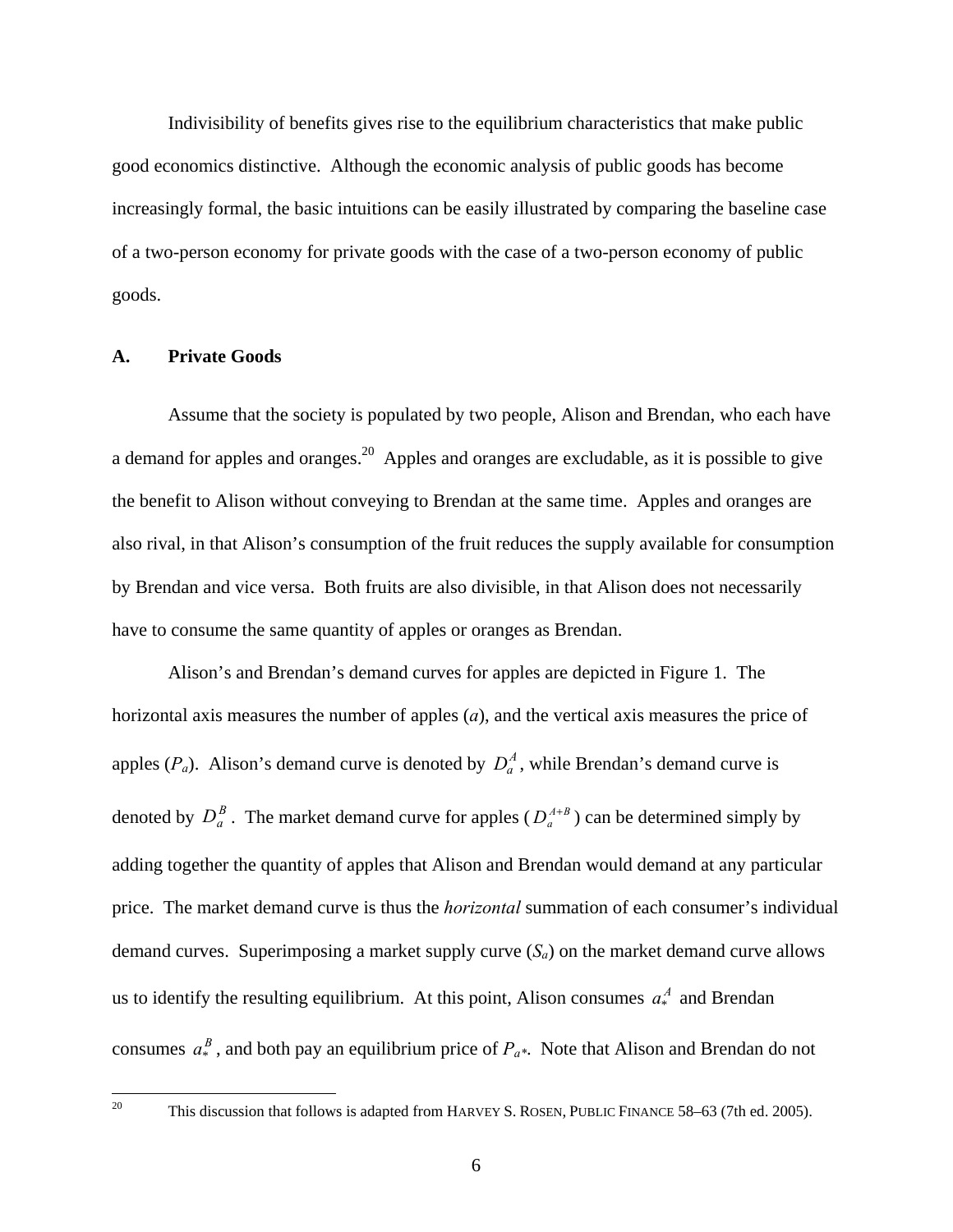Indivisibility of benefits gives rise to the equilibrium characteristics that make public good economics distinctive. Although the economic analysis of public goods has become increasingly formal, the basic intuitions can be easily illustrated by comparing the baseline case of a two-person economy for private goods with the case of a two-person economy of public goods.

#### **A. Private Goods**

 Assume that the society is populated by two people, Alison and Brendan, who each have a demand for apples and oranges.20 Apples and oranges are excludable, as it is possible to give the benefit to Alison without conveying to Brendan at the same time. Apples and oranges are also rival, in that Alison's consumption of the fruit reduces the supply available for consumption by Brendan and vice versa. Both fruits are also divisible, in that Alison does not necessarily have to consume the same quantity of apples or oranges as Brendan.

 Alison's and Brendan's demand curves for apples are depicted in Figure 1. The horizontal axis measures the number of apples (*a*), and the vertical axis measures the price of apples  $(P_a)$ . Alison's demand curve is denoted by  $D_a^A$ , while Brendan's demand curve is denoted by  $D_a^B$ . The market demand curve for apples  $(D_a^{A+B})$  can be determined simply by adding together the quantity of apples that Alison and Brendan would demand at any particular price. The market demand curve is thus the *horizontal* summation of each consumer's individual demand curves. Superimposing a market supply curve  $(S_a)$  on the market demand curve allows us to identify the resulting equilibrium. At this point, Alison consumes  $a^A_*$  and Brendan consumes  $a^B_*$ , and both pay an equilibrium price of  $P_{a^*}$ . Note that Alison and Brendan do not

 $20\,$ 

<sup>20</sup> This discussion that follows is adapted from HARVEY S. ROSEN, PUBLIC FINANCE 58–63 (7th ed. 2005).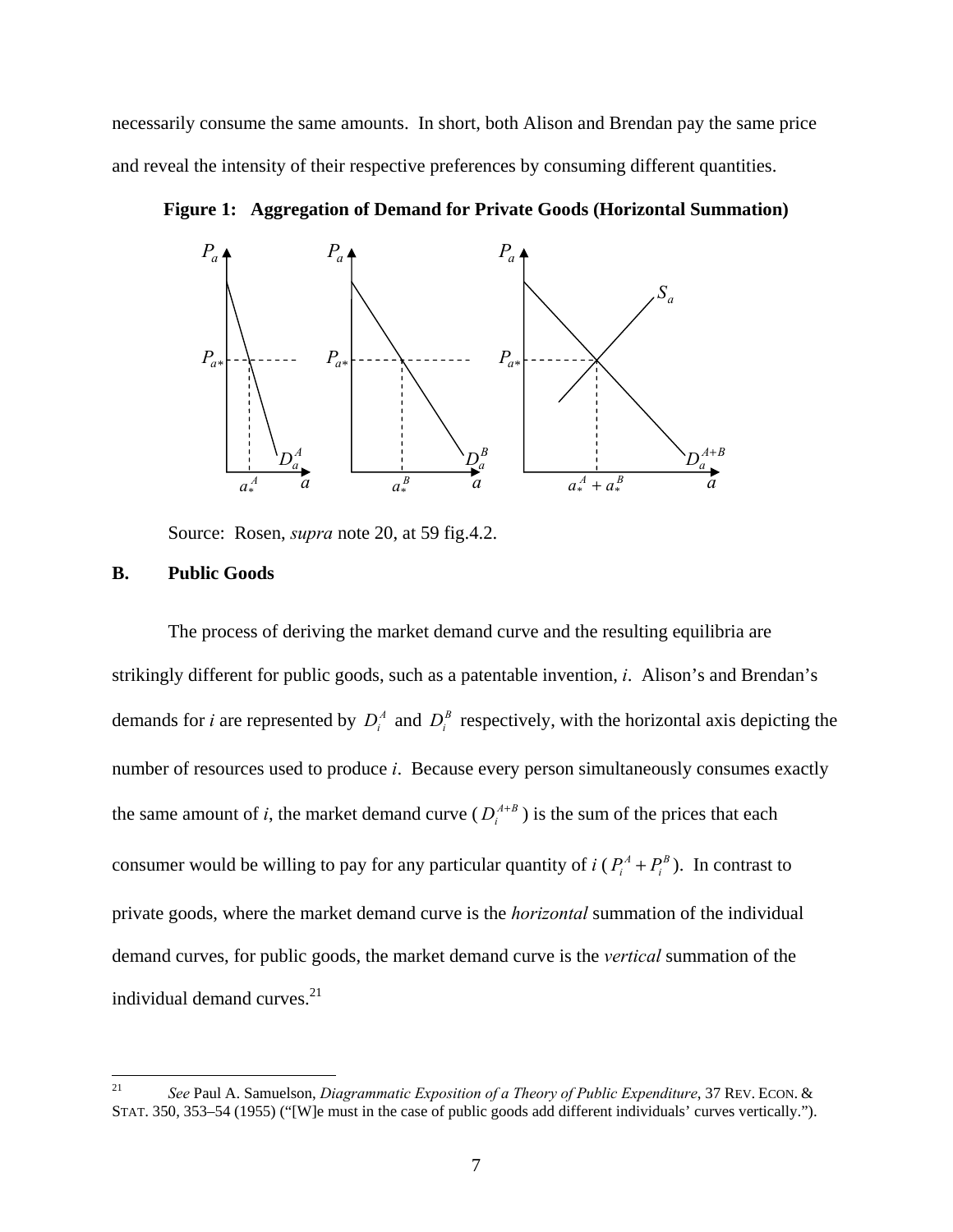necessarily consume the same amounts. In short, both Alison and Brendan pay the same price and reveal the intensity of their respective preferences by consuming different quantities.



**Figure 1: Aggregation of Demand for Private Goods (Horizontal Summation)** 

Source: Rosen, *supra* note 20, at 59 fig.4.2.

#### **B. Public Goods**

 The process of deriving the market demand curve and the resulting equilibria are strikingly different for public goods, such as a patentable invention, *i*. Alison's and Brendan's demands for *i* are represented by  $D_i^A$  and  $D_i^B$  respectively, with the horizontal axis depicting the number of resources used to produce *i*. Because every person simultaneously consumes exactly the same amount of *i*, the market demand curve  $(D_i^{A+B})$  is the sum of the prices that each consumer would be willing to pay for any particular quantity of *i* ( $P_i^A + P_i^B$ ). In contrast to private goods, where the market demand curve is the *horizontal* summation of the individual demand curves, for public goods, the market demand curve is the *vertical* summation of the individual demand curves.<sup>21</sup>

 $21\,$ <sup>21</sup> *See* Paul A. Samuelson, *Diagrammatic Exposition of a Theory of Public Expenditure*, 37 REV. ECON. & STAT. 350, 353–54 (1955) ("[W]e must in the case of public goods add different individuals' curves vertically.").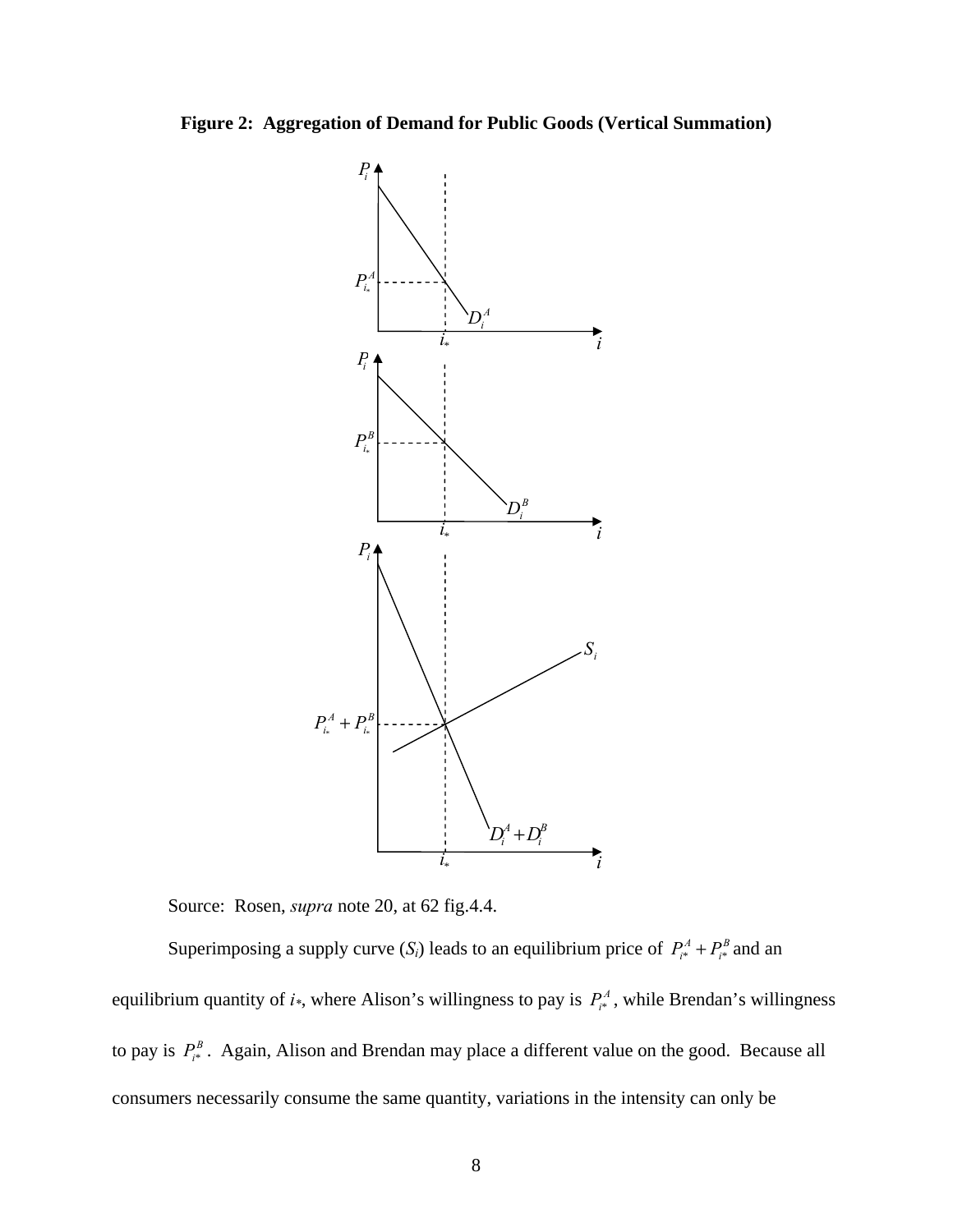**Figure 2: Aggregation of Demand for Public Goods (Vertical Summation)** 



Source: Rosen, *supra* note 20, at 62 fig.4.4.

Superimposing a supply curve  $(S_i)$  leads to an equilibrium price of  $P_{i*}^A + P_{i*}^B$  and an equilibrium quantity of  $i$ <sup>\*</sup>, where Alison's willingness to pay is  $P_{i}^{A}$ , while Brendan's willingness to pay is  $P_{i^*}^B$ . Again, Alison and Brendan may place a different value on the good. Because all consumers necessarily consume the same quantity, variations in the intensity can only be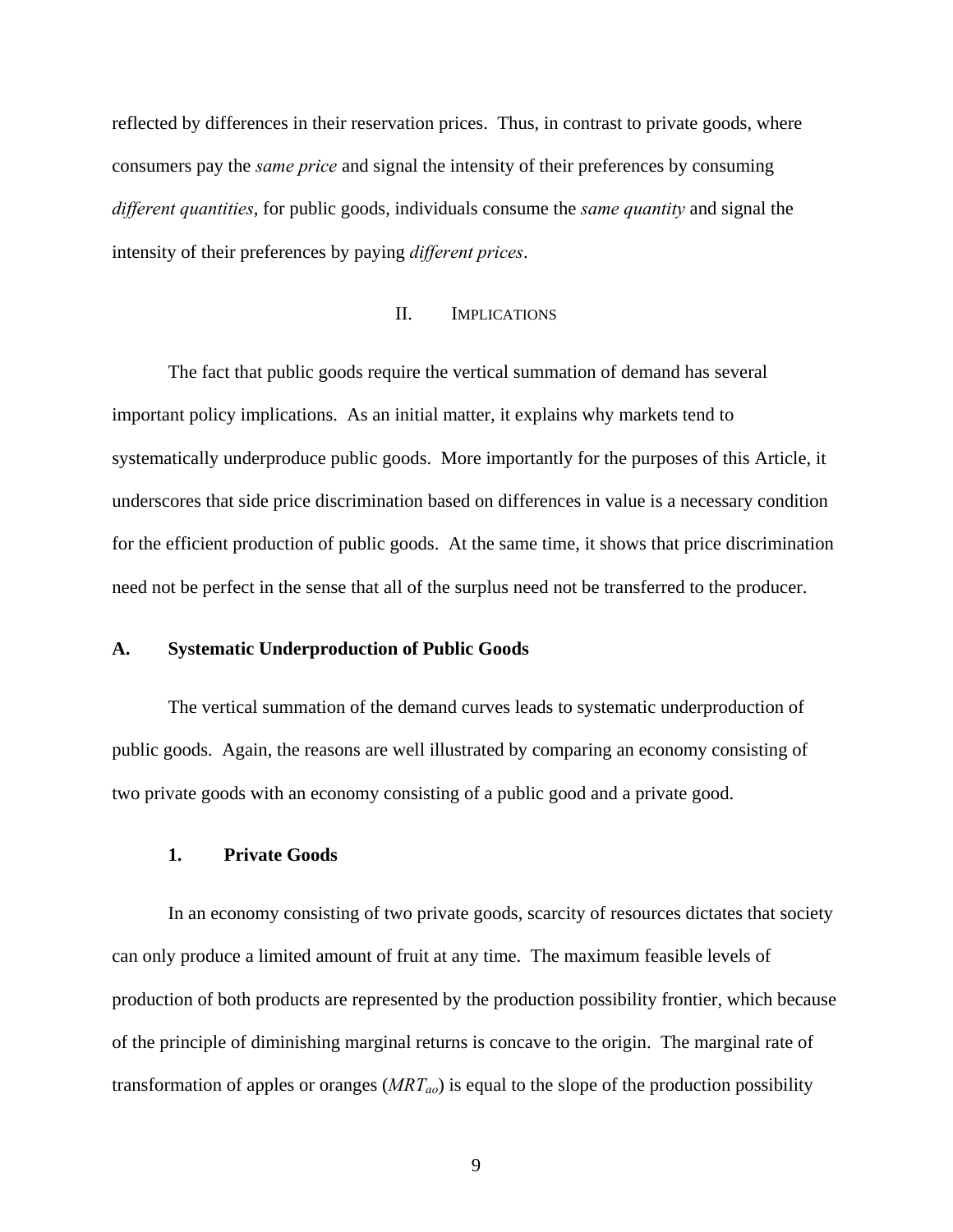reflected by differences in their reservation prices. Thus, in contrast to private goods, where consumers pay the *same price* and signal the intensity of their preferences by consuming *different quantities*, for public goods, individuals consume the *same quantity* and signal the intensity of their preferences by paying *different prices*.

#### II. IMPLICATIONS

 The fact that public goods require the vertical summation of demand has several important policy implications. As an initial matter, it explains why markets tend to systematically underproduce public goods. More importantly for the purposes of this Article, it underscores that side price discrimination based on differences in value is a necessary condition for the efficient production of public goods. At the same time, it shows that price discrimination need not be perfect in the sense that all of the surplus need not be transferred to the producer.

#### **A. Systematic Underproduction of Public Goods**

 The vertical summation of the demand curves leads to systematic underproduction of public goods. Again, the reasons are well illustrated by comparing an economy consisting of two private goods with an economy consisting of a public good and a private good.

#### **1. Private Goods**

 In an economy consisting of two private goods, scarcity of resources dictates that society can only produce a limited amount of fruit at any time. The maximum feasible levels of production of both products are represented by the production possibility frontier, which because of the principle of diminishing marginal returns is concave to the origin. The marginal rate of transformation of apples or oranges  $(MRT_{ao})$  is equal to the slope of the production possibility

9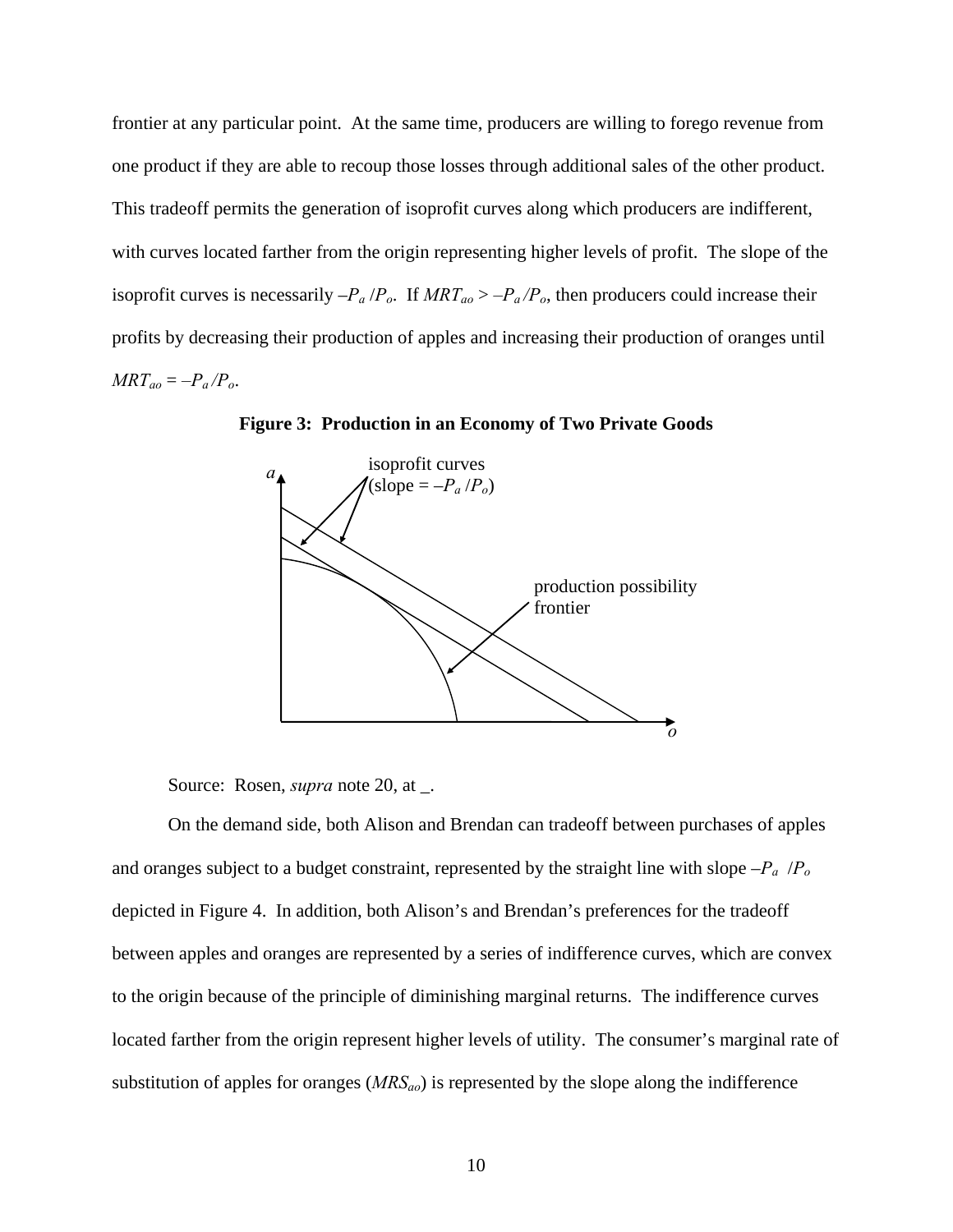frontier at any particular point. At the same time, producers are willing to forego revenue from one product if they are able to recoup those losses through additional sales of the other product. This tradeoff permits the generation of isoprofit curves along which producers are indifferent, with curves located farther from the origin representing higher levels of profit. The slope of the isoprofit curves is necessarily  $-P_a/P_o$ . If  $MRT_{ao} > -P_a/P_o$ , then producers could increase their profits by decreasing their production of apples and increasing their production of oranges until  $MRT_{ao} = -P_a/P_o$ .



**Figure 3: Production in an Economy of Two Private Goods** 

Source: Rosen, *supra* note 20, at \_.

 On the demand side, both Alison and Brendan can tradeoff between purchases of apples and oranges subject to a budget constraint, represented by the straight line with slope –*Pa* /*Po* depicted in Figure 4. In addition, both Alison's and Brendan's preferences for the tradeoff between apples and oranges are represented by a series of indifference curves, which are convex to the origin because of the principle of diminishing marginal returns. The indifference curves located farther from the origin represent higher levels of utility. The consumer's marginal rate of substitution of apples for oranges (*MRSao*) is represented by the slope along the indifference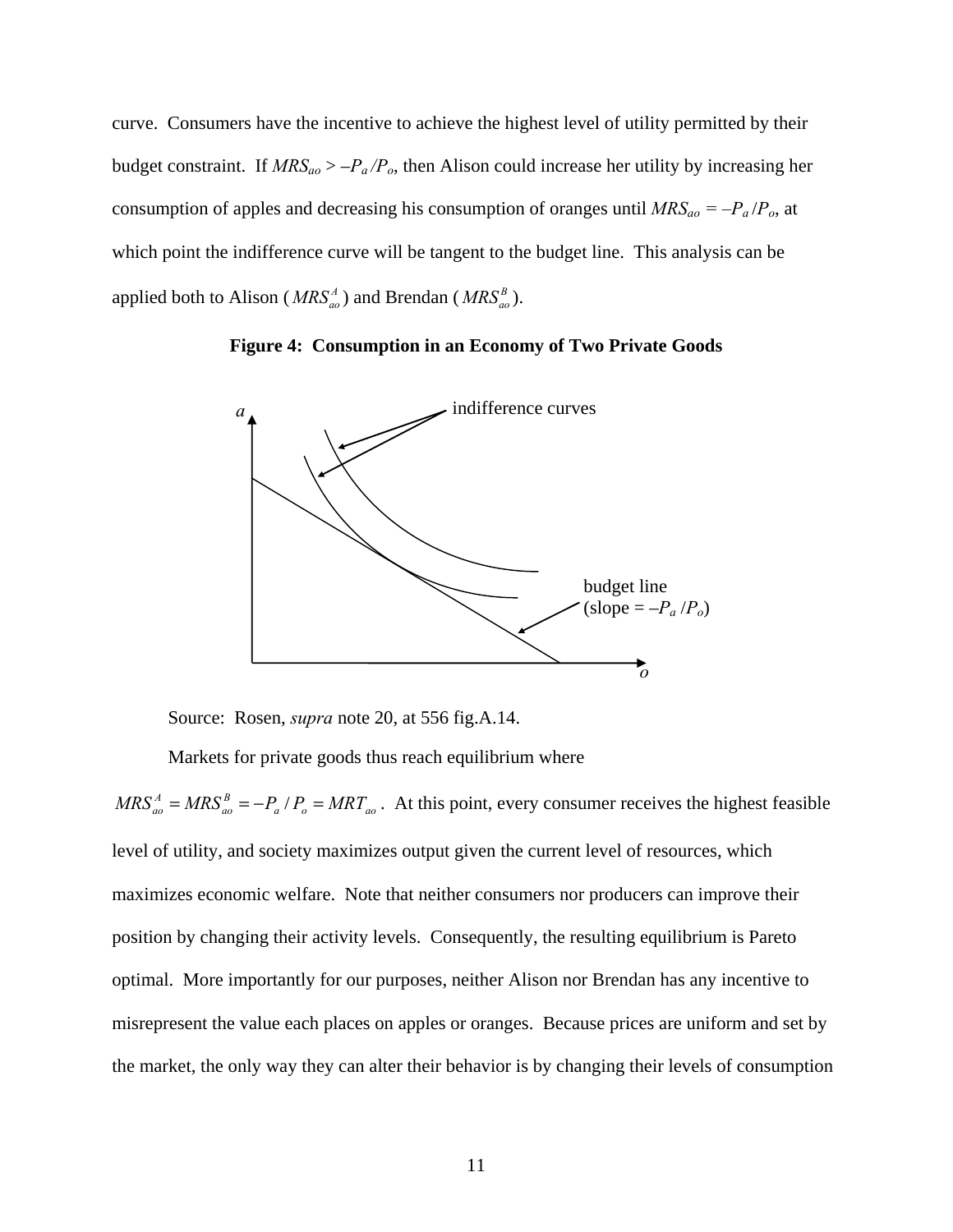curve. Consumers have the incentive to achieve the highest level of utility permitted by their budget constraint. If *MRSao* > –*Pa /Po*, then Alison could increase her utility by increasing her consumption of apples and decreasing his consumption of oranges until  $MRS_{ao} = -P_a/P_o$ , at which point the indifference curve will be tangent to the budget line. This analysis can be applied both to Alison ( $MRS_{ao}^A$ ) and Brendan ( $MRS_{ao}^B$ ).

**Figure 4: Consumption in an Economy of Two Private Goods** 



Source: Rosen, *supra* note 20, at 556 fig.A.14.

Markets for private goods thus reach equilibrium where

 $a \cdot I_0 = I V I N I_{ao}$ *B*  $MRS_{ao}^A = MRS_{ao}^B = -P_a / P_o = MRT_{ao}$ . At this point, every consumer receives the highest feasible level of utility, and society maximizes output given the current level of resources, which maximizes economic welfare. Note that neither consumers nor producers can improve their position by changing their activity levels. Consequently, the resulting equilibrium is Pareto optimal. More importantly for our purposes, neither Alison nor Brendan has any incentive to misrepresent the value each places on apples or oranges. Because prices are uniform and set by the market, the only way they can alter their behavior is by changing their levels of consumption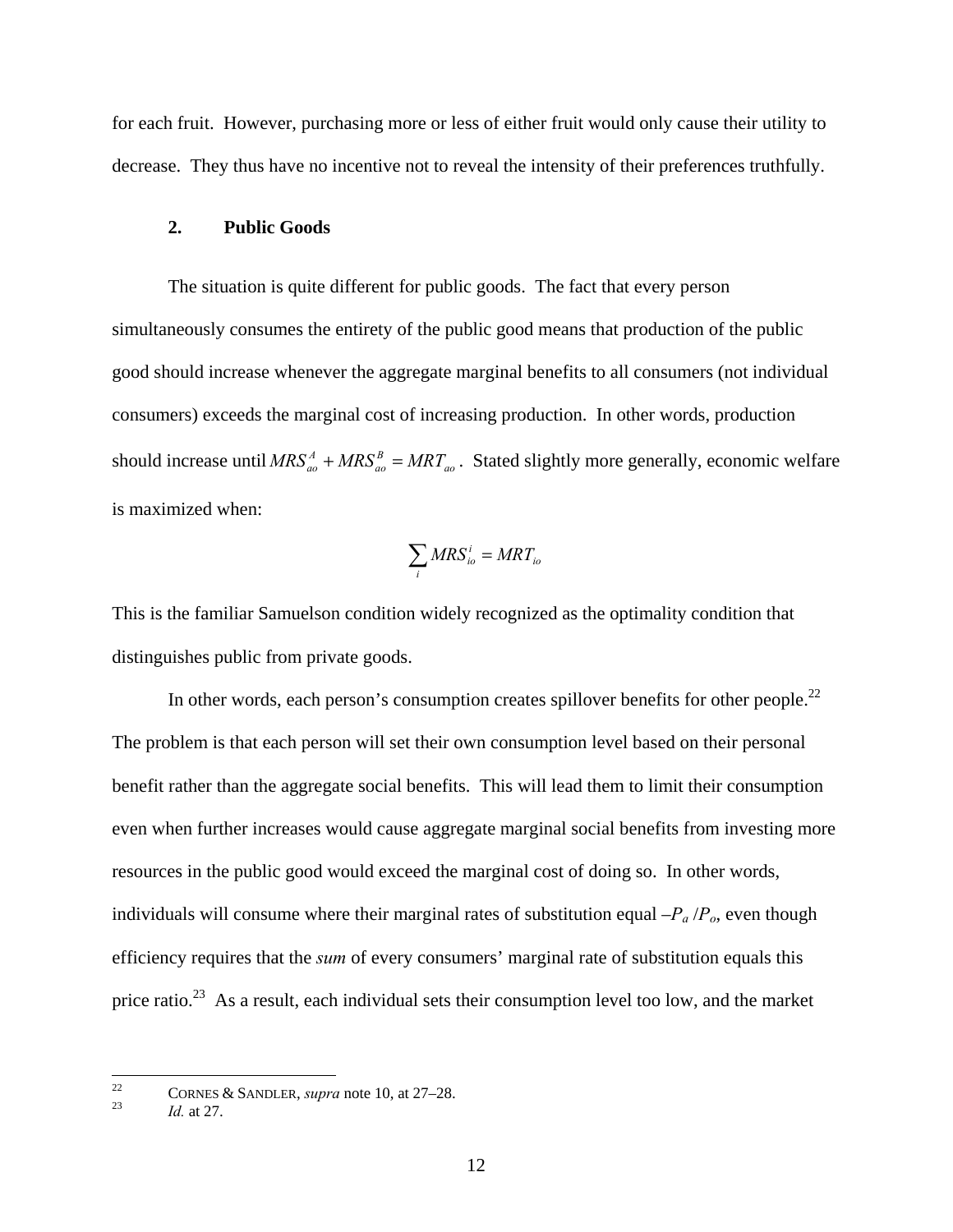for each fruit. However, purchasing more or less of either fruit would only cause their utility to decrease. They thus have no incentive not to reveal the intensity of their preferences truthfully.

#### **2. Public Goods**

 The situation is quite different for public goods. The fact that every person simultaneously consumes the entirety of the public good means that production of the public good should increase whenever the aggregate marginal benefits to all consumers (not individual consumers) exceeds the marginal cost of increasing production. In other words, production should increase until  $MRS_{ao}^A + MRS_{ao}^B = MRT_{ao}$  $MRS_{ao}^A + MRS_{ao}^B = MRT_{ao}$ . Stated slightly more generally, economic welfare is maximized when:

$$
\sum_i MRS_{io}^i = MRT_{io}
$$

This is the familiar Samuelson condition widely recognized as the optimality condition that distinguishes public from private goods.

In other words, each person's consumption creates spillover benefits for other people.<sup>22</sup> The problem is that each person will set their own consumption level based on their personal benefit rather than the aggregate social benefits. This will lead them to limit their consumption even when further increases would cause aggregate marginal social benefits from investing more resources in the public good would exceed the marginal cost of doing so. In other words, individuals will consume where their marginal rates of substitution equal  $-P_a/P_o$ , even though efficiency requires that the *sum* of every consumers' marginal rate of substitution equals this price ratio.<sup>23</sup> As a result, each individual sets their consumption level too low, and the market

 $22\,$ <sup>22</sup> CORNES & SANDLER, *supra* note 10, at 27–28.<br>*Id.* at 27.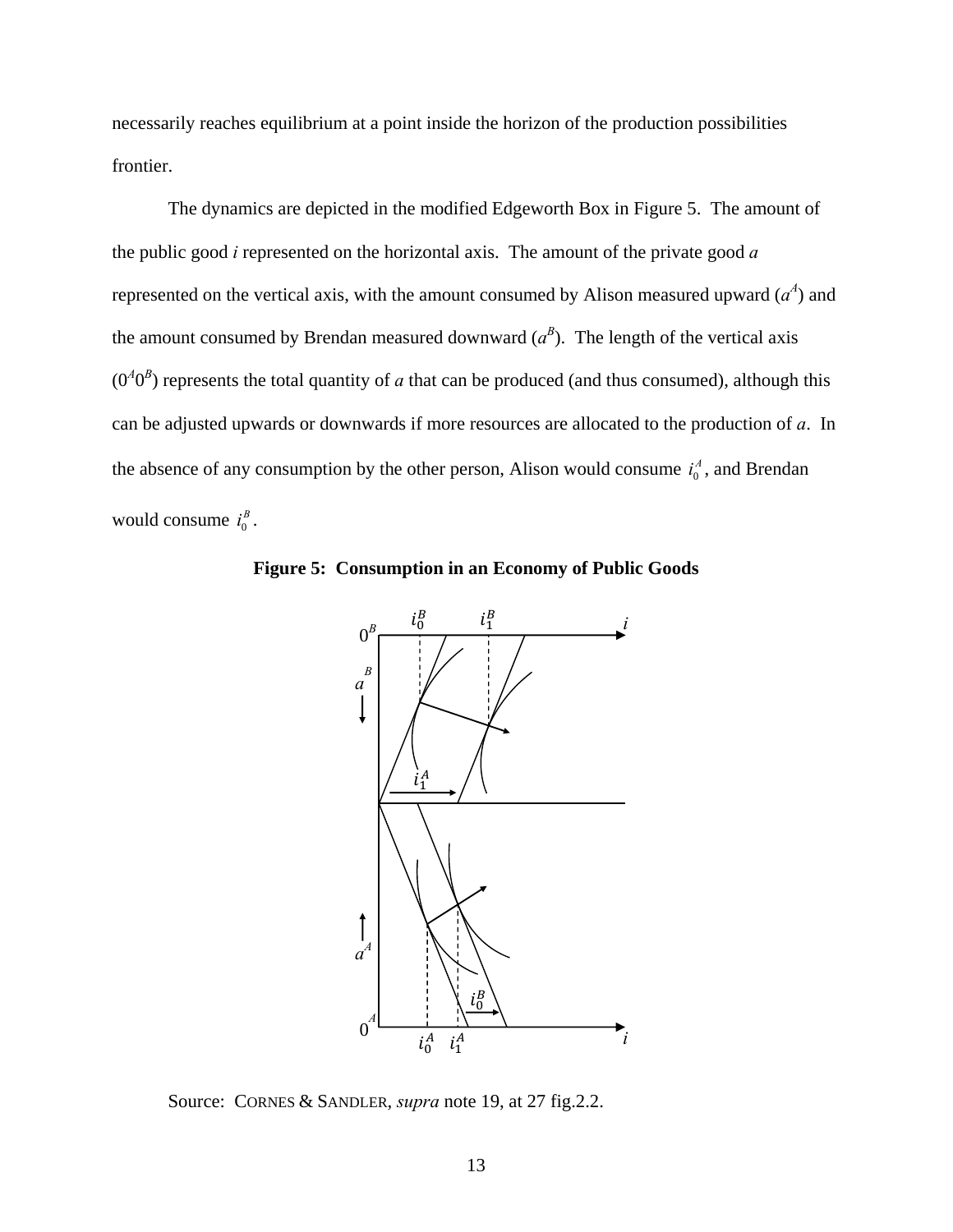necessarily reaches equilibrium at a point inside the horizon of the production possibilities frontier.

 The dynamics are depicted in the modified Edgeworth Box in Figure 5. The amount of the public good *i* represented on the horizontal axis. The amount of the private good *a* represented on the vertical axis, with the amount consumed by Alison measured upward  $(a<sup>4</sup>)$  and the amount consumed by Brendan measured downward  $(a^B)$ . The length of the vertical axis  $(0<sup>4</sup>0<sup>B</sup>)$  represents the total quantity of *a* that can be produced (and thus consumed), although this can be adjusted upwards or downwards if more resources are allocated to the production of *a*. In the absence of any consumption by the other person, Alison would consume  $i_0^A$ , and Brendan would consume  $i_0^B$ .



**Figure 5: Consumption in an Economy of Public Goods** 

Source: CORNES & SANDLER, *supra* note 19, at 27 fig.2.2.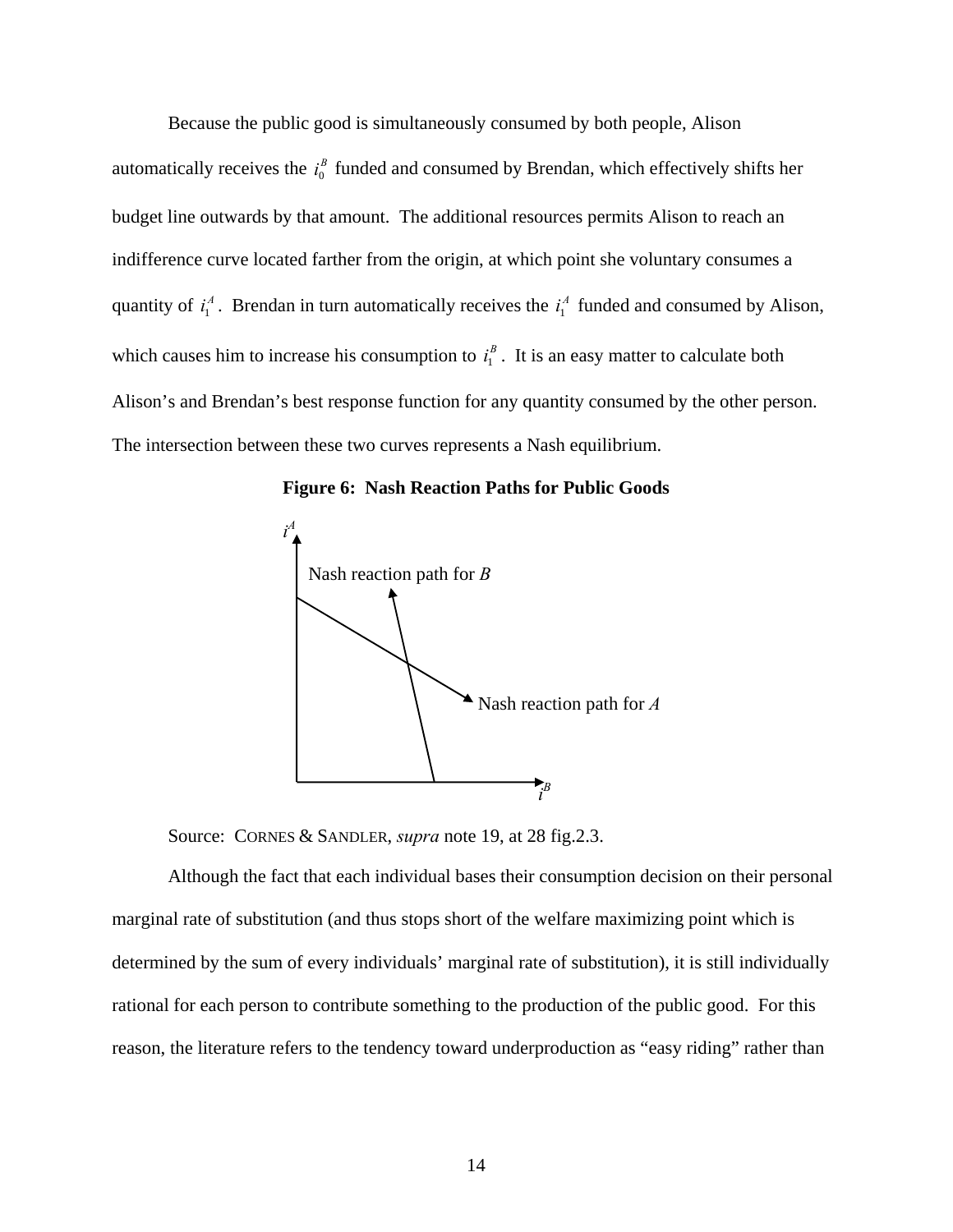Because the public good is simultaneously consumed by both people, Alison

automatically receives the  $i_0^B$  funded and consumed by Brendan, which effectively shifts her budget line outwards by that amount. The additional resources permits Alison to reach an indifference curve located farther from the origin, at which point she voluntary consumes a quantity of  $i_1^A$ . Brendan in turn automatically receives the  $i_1^A$  funded and consumed by Alison, which causes him to increase his consumption to  $i_1^B$ . It is an easy matter to calculate both Alison's and Brendan's best response function for any quantity consumed by the other person. The intersection between these two curves represents a Nash equilibrium.





Source: CORNES & SANDLER, *supra* note 19, at 28 fig.2.3.

 Although the fact that each individual bases their consumption decision on their personal marginal rate of substitution (and thus stops short of the welfare maximizing point which is determined by the sum of every individuals' marginal rate of substitution), it is still individually rational for each person to contribute something to the production of the public good. For this reason, the literature refers to the tendency toward underproduction as "easy riding" rather than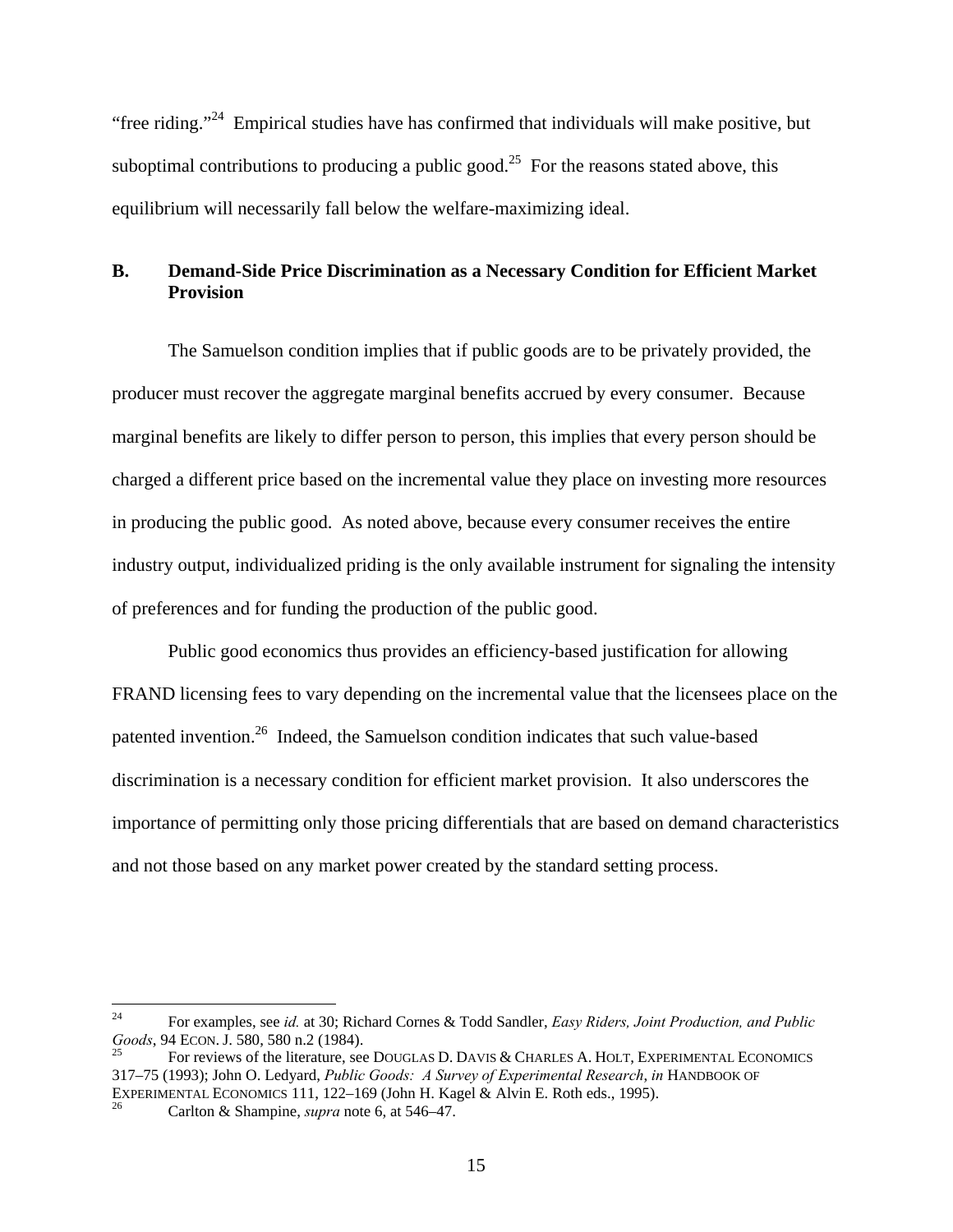"free riding."24 Empirical studies have has confirmed that individuals will make positive, but suboptimal contributions to producing a public good.<sup>25</sup> For the reasons stated above, this equilibrium will necessarily fall below the welfare-maximizing ideal.

# **B. Demand-Side Price Discrimination as a Necessary Condition for Efficient Market Provision**

 The Samuelson condition implies that if public goods are to be privately provided, the producer must recover the aggregate marginal benefits accrued by every consumer. Because marginal benefits are likely to differ person to person, this implies that every person should be charged a different price based on the incremental value they place on investing more resources in producing the public good. As noted above, because every consumer receives the entire industry output, individualized priding is the only available instrument for signaling the intensity of preferences and for funding the production of the public good.

 Public good economics thus provides an efficiency-based justification for allowing FRAND licensing fees to vary depending on the incremental value that the licensees place on the patented invention.26 Indeed, the Samuelson condition indicates that such value-based discrimination is a necessary condition for efficient market provision. It also underscores the importance of permitting only those pricing differentials that are based on demand characteristics and not those based on any market power created by the standard setting process.

 $24$ <sup>24</sup> For examples, see *id.* at 30; Richard Cornes & Todd Sandler, *Easy Riders, Joint Production, and Public Goods*, 94 ECON. J. 580, 580 n.2 (1984).

For reviews of the literature, see DOUGLAS D. DAVIS & CHARLES A. HOLT, EXPERIMENTAL ECONOMICS 317–75 (1993); John O. Ledyard, *Public Goods: A Survey of Experimental Research*, *in* HANDBOOK OF EXPERIMENTAL ECONOMICS 111, 122–169 (John H. Kagel & Alvin E. Roth eds., 1995).<br><sup>26</sup> Carlton & Shampine, *supra* note 6, at 546–47.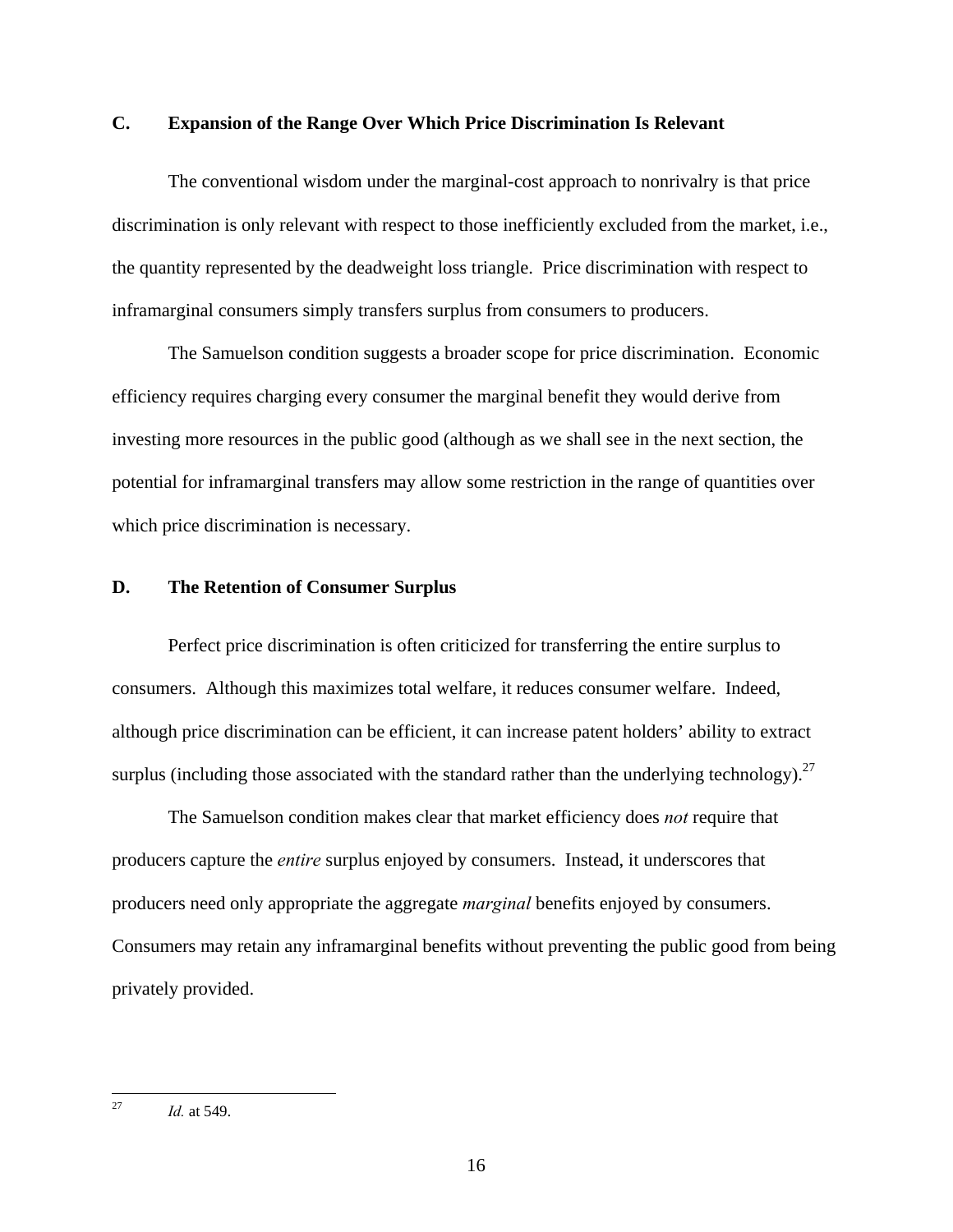## **C. Expansion of the Range Over Which Price Discrimination Is Relevant**

 The conventional wisdom under the marginal-cost approach to nonrivalry is that price discrimination is only relevant with respect to those inefficiently excluded from the market, i.e., the quantity represented by the deadweight loss triangle. Price discrimination with respect to inframarginal consumers simply transfers surplus from consumers to producers.

 The Samuelson condition suggests a broader scope for price discrimination. Economic efficiency requires charging every consumer the marginal benefit they would derive from investing more resources in the public good (although as we shall see in the next section, the potential for inframarginal transfers may allow some restriction in the range of quantities over which price discrimination is necessary.

## **D. The Retention of Consumer Surplus**

 Perfect price discrimination is often criticized for transferring the entire surplus to consumers. Although this maximizes total welfare, it reduces consumer welfare. Indeed, although price discrimination can be efficient, it can increase patent holders' ability to extract surplus (including those associated with the standard rather than the underlying technology).<sup>27</sup>

 The Samuelson condition makes clear that market efficiency does *not* require that producers capture the *entire* surplus enjoyed by consumers. Instead, it underscores that producers need only appropriate the aggregate *marginal* benefits enjoyed by consumers. Consumers may retain any inframarginal benefits without preventing the public good from being privately provided.

 $27$ *Id.* at 549.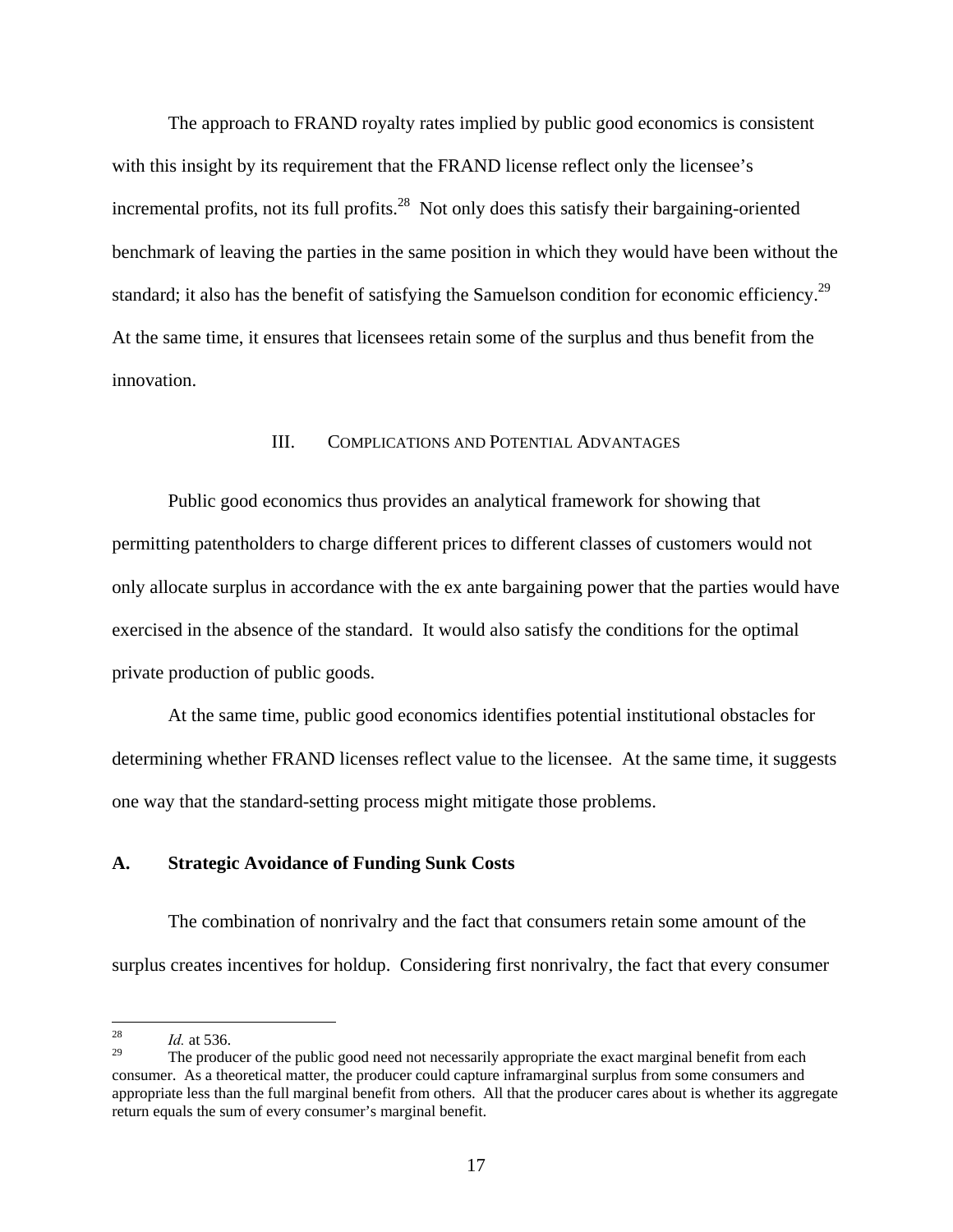The approach to FRAND royalty rates implied by public good economics is consistent with this insight by its requirement that the FRAND license reflect only the licensee's incremental profits, not its full profits.<sup>28</sup> Not only does this satisfy their bargaining-oriented benchmark of leaving the parties in the same position in which they would have been without the standard; it also has the benefit of satisfying the Samuelson condition for economic efficiency.<sup>29</sup> At the same time, it ensures that licensees retain some of the surplus and thus benefit from the innovation.

#### III. COMPLICATIONS AND POTENTIAL ADVANTAGES

 Public good economics thus provides an analytical framework for showing that permitting patentholders to charge different prices to different classes of customers would not only allocate surplus in accordance with the ex ante bargaining power that the parties would have exercised in the absence of the standard. It would also satisfy the conditions for the optimal private production of public goods.

 At the same time, public good economics identifies potential institutional obstacles for determining whether FRAND licenses reflect value to the licensee. At the same time, it suggests one way that the standard-setting process might mitigate those problems.

#### **A. Strategic Avoidance of Funding Sunk Costs**

 The combination of nonrivalry and the fact that consumers retain some amount of the surplus creates incentives for holdup. Considering first nonrivalry, the fact that every consumer

<sup>28</sup>  $\frac{28}{29}$  *Id.* at 536.

The producer of the public good need not necessarily appropriate the exact marginal benefit from each consumer. As a theoretical matter, the producer could capture inframarginal surplus from some consumers and appropriate less than the full marginal benefit from others. All that the producer cares about is whether its aggregate return equals the sum of every consumer's marginal benefit.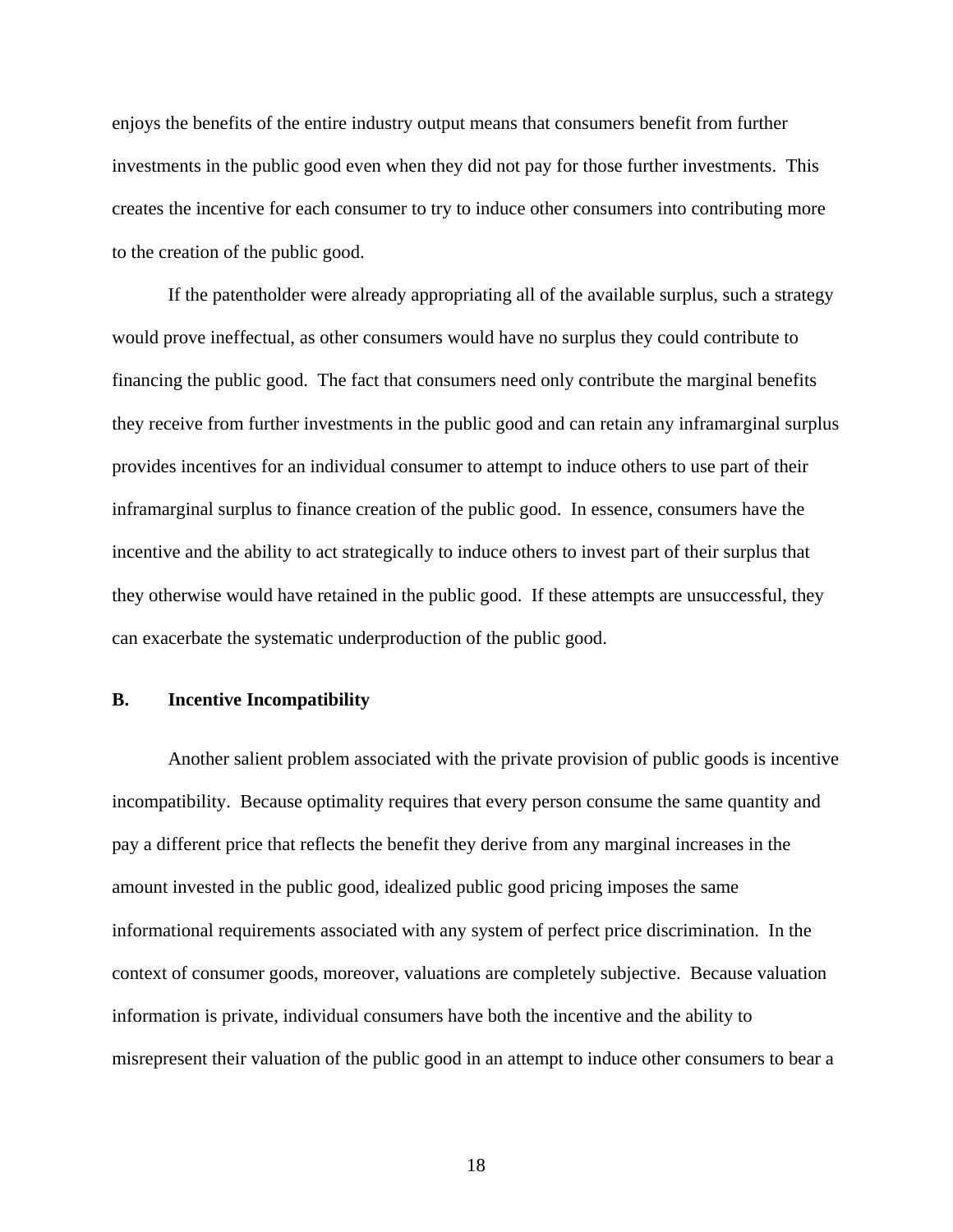enjoys the benefits of the entire industry output means that consumers benefit from further investments in the public good even when they did not pay for those further investments. This creates the incentive for each consumer to try to induce other consumers into contributing more to the creation of the public good.

 If the patentholder were already appropriating all of the available surplus, such a strategy would prove ineffectual, as other consumers would have no surplus they could contribute to financing the public good. The fact that consumers need only contribute the marginal benefits they receive from further investments in the public good and can retain any inframarginal surplus provides incentives for an individual consumer to attempt to induce others to use part of their inframarginal surplus to finance creation of the public good. In essence, consumers have the incentive and the ability to act strategically to induce others to invest part of their surplus that they otherwise would have retained in the public good. If these attempts are unsuccessful, they can exacerbate the systematic underproduction of the public good.

#### **B. Incentive Incompatibility**

 Another salient problem associated with the private provision of public goods is incentive incompatibility. Because optimality requires that every person consume the same quantity and pay a different price that reflects the benefit they derive from any marginal increases in the amount invested in the public good, idealized public good pricing imposes the same informational requirements associated with any system of perfect price discrimination. In the context of consumer goods, moreover, valuations are completely subjective. Because valuation information is private, individual consumers have both the incentive and the ability to misrepresent their valuation of the public good in an attempt to induce other consumers to bear a

18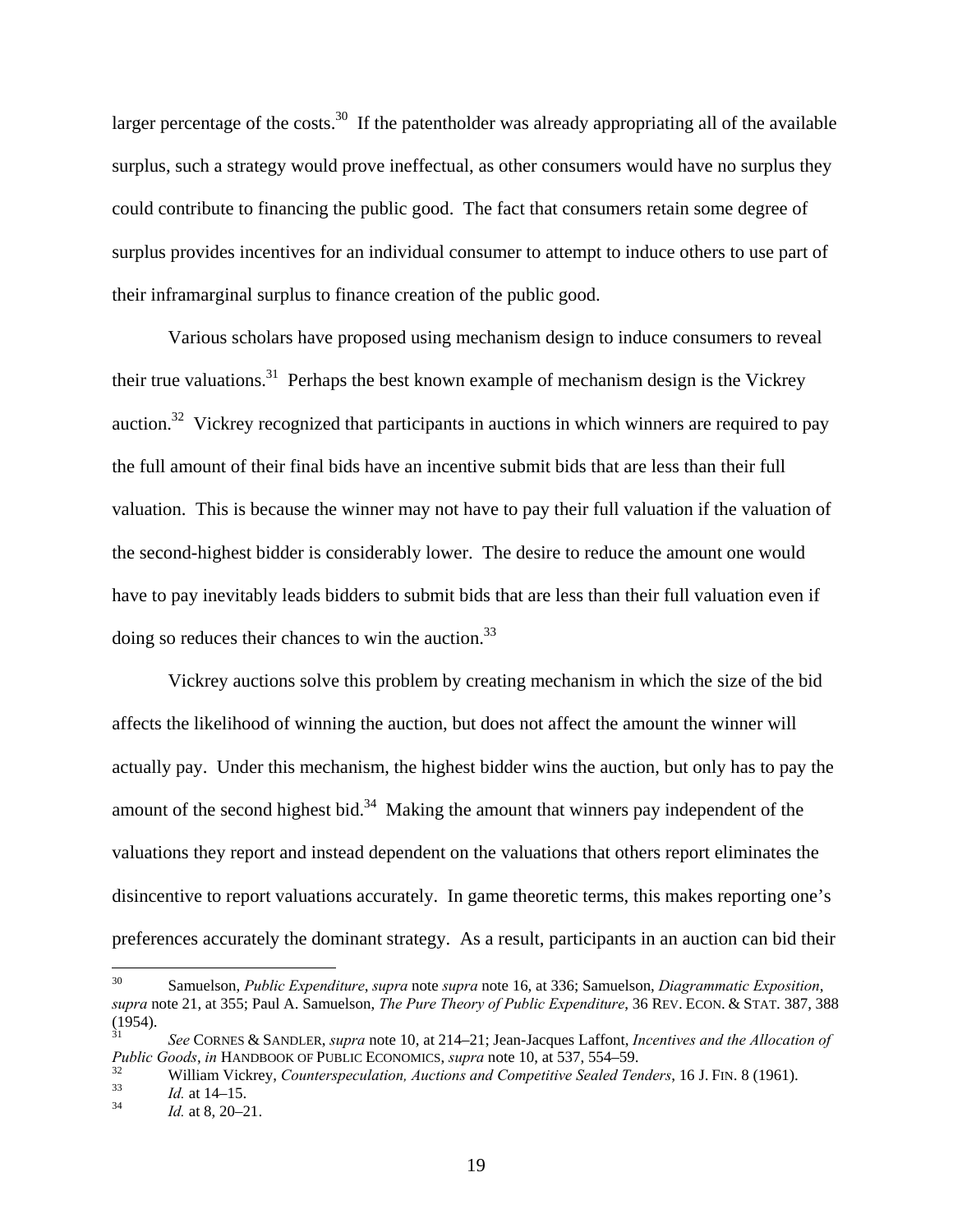larger percentage of the costs.<sup>30</sup> If the patentholder was already appropriating all of the available surplus, such a strategy would prove ineffectual, as other consumers would have no surplus they could contribute to financing the public good. The fact that consumers retain some degree of surplus provides incentives for an individual consumer to attempt to induce others to use part of their inframarginal surplus to finance creation of the public good.

 Various scholars have proposed using mechanism design to induce consumers to reveal their true valuations.31 Perhaps the best known example of mechanism design is the Vickrey auction.<sup>32</sup> Vickrey recognized that participants in auctions in which winners are required to pay the full amount of their final bids have an incentive submit bids that are less than their full valuation. This is because the winner may not have to pay their full valuation if the valuation of the second-highest bidder is considerably lower. The desire to reduce the amount one would have to pay inevitably leads bidders to submit bids that are less than their full valuation even if doing so reduces their chances to win the auction. $33$ 

 Vickrey auctions solve this problem by creating mechanism in which the size of the bid affects the likelihood of winning the auction, but does not affect the amount the winner will actually pay. Under this mechanism, the highest bidder wins the auction, but only has to pay the amount of the second highest bid.<sup>34</sup> Making the amount that winners pay independent of the valuations they report and instead dependent on the valuations that others report eliminates the disincentive to report valuations accurately. In game theoretic terms, this makes reporting one's preferences accurately the dominant strategy. As a result, participants in an auction can bid their

<sup>30</sup> 30 Samuelson, *Public Expenditure*, *supra* note *supra* note 16, at 336; Samuelson, *Diagrammatic Exposition*, *supra* note 21, at 355; Paul A. Samuelson, *The Pure Theory of Public Expenditure*, 36 REV. ECON. & STAT. 387, 388 (1954).

<sup>31</sup> *See* CORNES & SANDLER, *supra* note 10, at 214–21; Jean-Jacques Laffont, *Incentives and the Allocation of Public Goods, in* HANDBOOK OF PUBLIC ECONOMICS, *supra* note 10, at 537, 554–59.<br>William Vickrey, *Counterspeculation, Auctions and Competitive Sealed Tenders*, 16 J. Fin. 8 (1961).<br>*Id.* at 14–15.<br>*Id.* at 8, 20–21.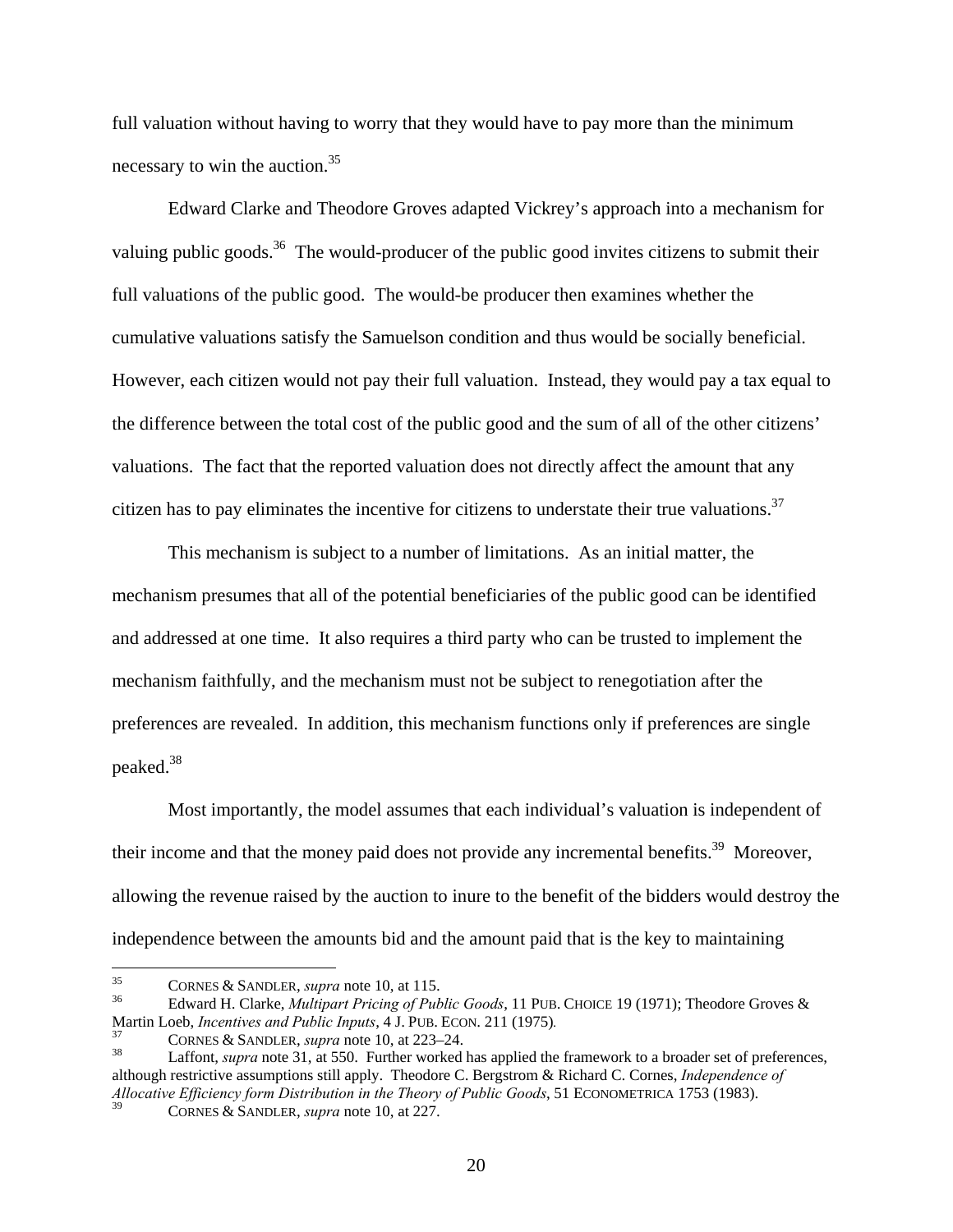full valuation without having to worry that they would have to pay more than the minimum necessary to win the auction.35

 Edward Clarke and Theodore Groves adapted Vickrey's approach into a mechanism for valuing public goods.<sup>36</sup> The would-producer of the public good invites citizens to submit their full valuations of the public good. The would-be producer then examines whether the cumulative valuations satisfy the Samuelson condition and thus would be socially beneficial. However, each citizen would not pay their full valuation. Instead, they would pay a tax equal to the difference between the total cost of the public good and the sum of all of the other citizens' valuations. The fact that the reported valuation does not directly affect the amount that any citizen has to pay eliminates the incentive for citizens to understate their true valuations.<sup>37</sup>

 This mechanism is subject to a number of limitations. As an initial matter, the mechanism presumes that all of the potential beneficiaries of the public good can be identified and addressed at one time. It also requires a third party who can be trusted to implement the mechanism faithfully, and the mechanism must not be subject to renegotiation after the preferences are revealed. In addition, this mechanism functions only if preferences are single peaked.<sup>38</sup>

 Most importantly, the model assumes that each individual's valuation is independent of their income and that the money paid does not provide any incremental benefits.<sup>39</sup> Moreover, allowing the revenue raised by the auction to inure to the benefit of the bidders would destroy the independence between the amounts bid and the amount paid that is the key to maintaining

<sup>35</sup> 

<sup>35</sup> CORNES & SANDLER, *supra* note 10, at 115. 36 Edward H. Clarke, *Multipart Pricing of Public Goods*, 11 PUB. CHOICE 19 (1971); Theodore Groves & Martin Loeb, *Incentives and Public Inputs*, 4 J. PUB. ECON. 211 (1975).<br><sup>37</sup> CORNES & SANDLER, *supra* note 10, at 223–24.<br><sup>38</sup> Laffont, *supra* note 31, at 550. Further worked has applied the framework to a broader set o

although restrictive assumptions still apply. Theodore C. Bergstrom & Richard C. Cornes, *Independence of Allocative Efficiency form Distribution in the Theory of Public Goods*, 51 ECONOMETRICA 1753 (1983).

<sup>39</sup> CORNES & SANDLER, *supra* note 10, at 227.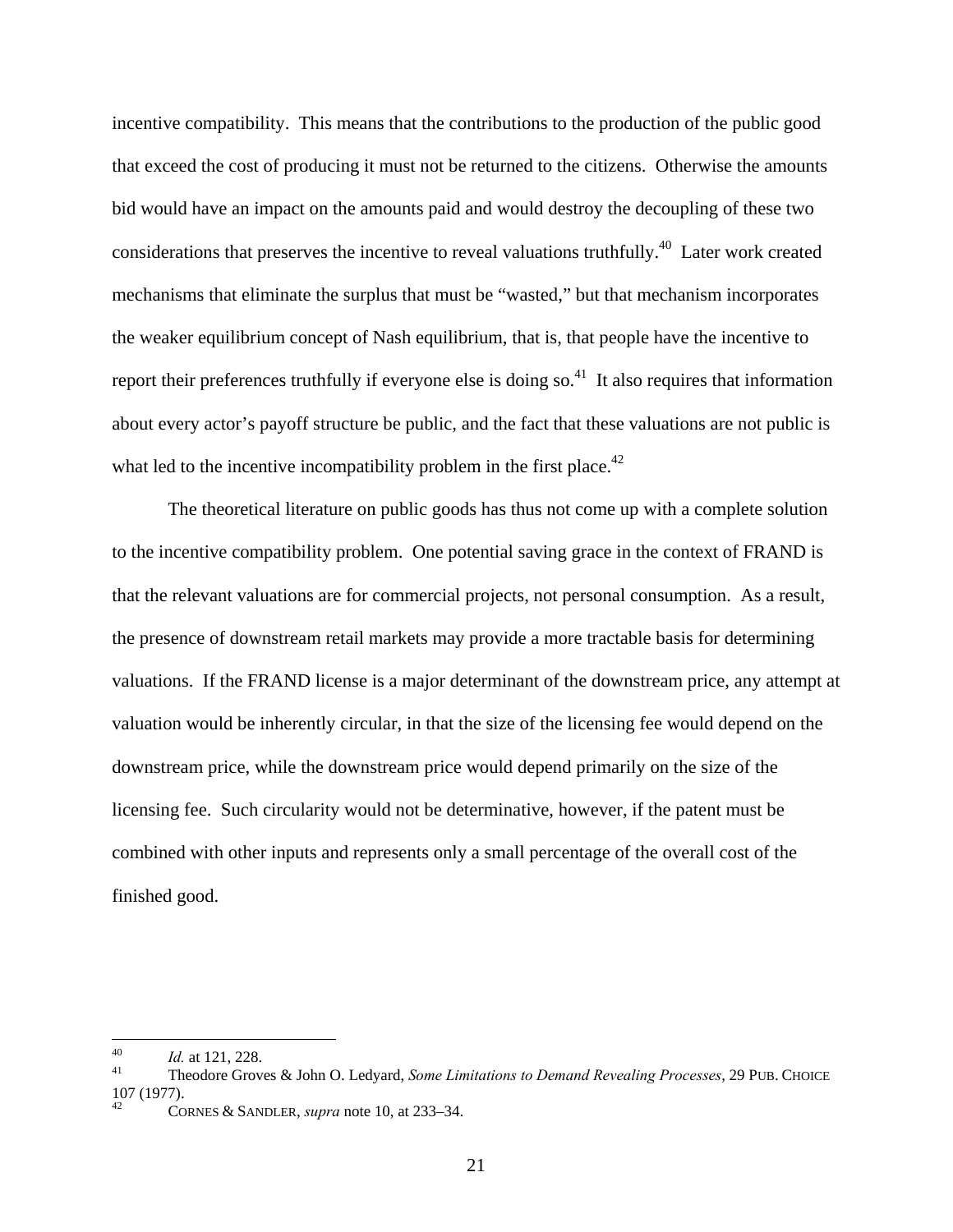incentive compatibility. This means that the contributions to the production of the public good that exceed the cost of producing it must not be returned to the citizens. Otherwise the amounts bid would have an impact on the amounts paid and would destroy the decoupling of these two considerations that preserves the incentive to reveal valuations truthfully.40 Later work created mechanisms that eliminate the surplus that must be "wasted," but that mechanism incorporates the weaker equilibrium concept of Nash equilibrium, that is, that people have the incentive to report their preferences truthfully if everyone else is doing so.<sup>41</sup> It also requires that information about every actor's payoff structure be public, and the fact that these valuations are not public is what led to the incentive incompatibility problem in the first place.<sup>42</sup>

 The theoretical literature on public goods has thus not come up with a complete solution to the incentive compatibility problem. One potential saving grace in the context of FRAND is that the relevant valuations are for commercial projects, not personal consumption. As a result, the presence of downstream retail markets may provide a more tractable basis for determining valuations. If the FRAND license is a major determinant of the downstream price, any attempt at valuation would be inherently circular, in that the size of the licensing fee would depend on the downstream price, while the downstream price would depend primarily on the size of the licensing fee. Such circularity would not be determinative, however, if the patent must be combined with other inputs and represents only a small percentage of the overall cost of the finished good.

 $40$ 

<sup>40</sup> *Id.* at 121, 228. 41 Theodore Groves & John O. Ledyard, *Some Limitations to Demand Revealing Processes*, 29 PUB. CHOICE 107 (1977).

<sup>42</sup> CORNES & SANDLER, *supra* note 10, at 233–34.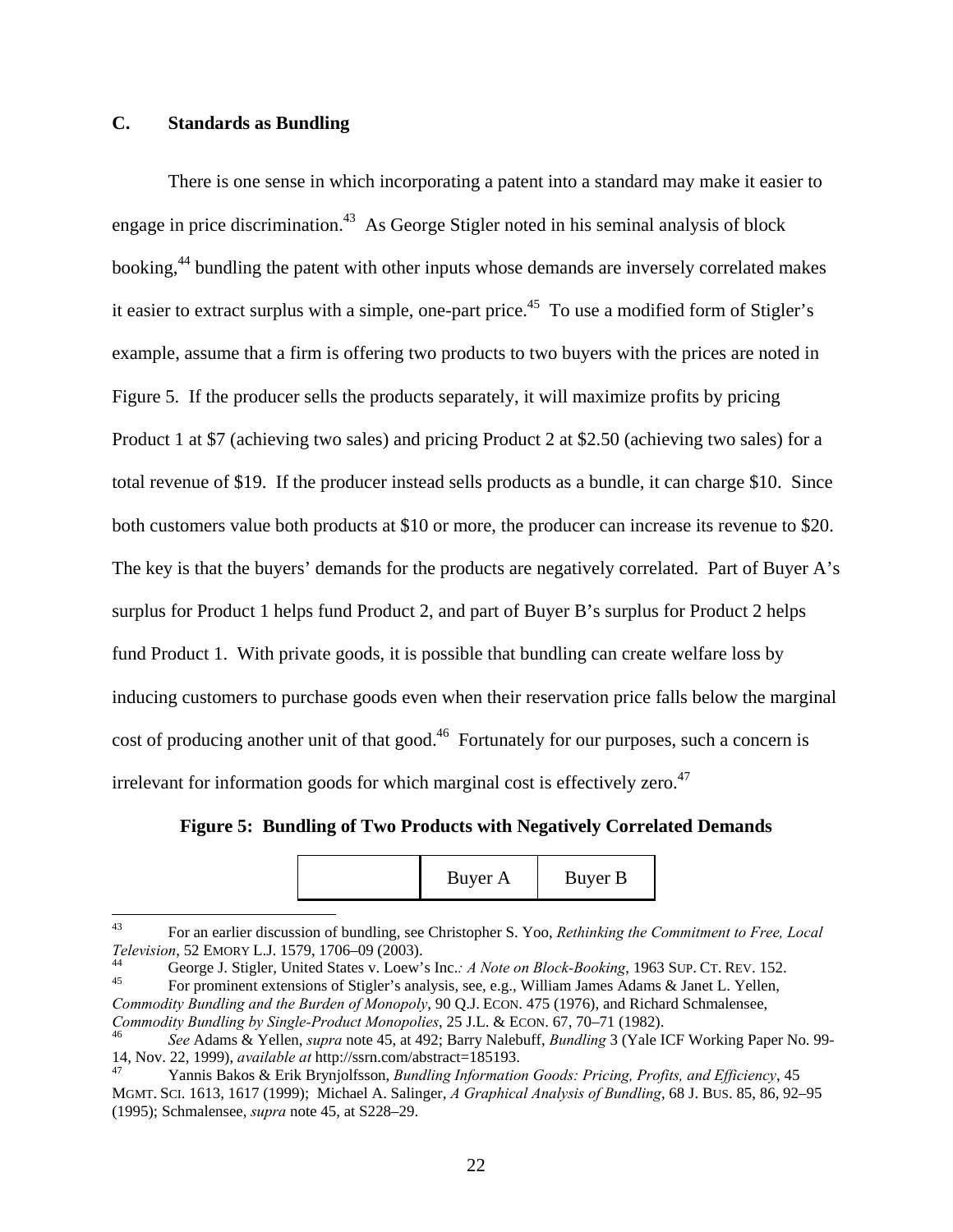## **C. Standards as Bundling**

 There is one sense in which incorporating a patent into a standard may make it easier to engage in price discrimination.<sup>43</sup> As George Stigler noted in his seminal analysis of block booking,<sup>44</sup> bundling the patent with other inputs whose demands are inversely correlated makes it easier to extract surplus with a simple, one-part price.<sup>45</sup> To use a modified form of Stigler's example, assume that a firm is offering two products to two buyers with the prices are noted in Figure 5. If the producer sells the products separately, it will maximize profits by pricing Product 1 at \$7 (achieving two sales) and pricing Product 2 at \$2.50 (achieving two sales) for a total revenue of \$19. If the producer instead sells products as a bundle, it can charge \$10. Since both customers value both products at \$10 or more, the producer can increase its revenue to \$20. The key is that the buyers' demands for the products are negatively correlated. Part of Buyer A's surplus for Product 1 helps fund Product 2, and part of Buyer B's surplus for Product 2 helps fund Product 1. With private goods, it is possible that bundling can create welfare loss by inducing customers to purchase goods even when their reservation price falls below the marginal cost of producing another unit of that good.<sup>46</sup> Fortunately for our purposes, such a concern is irrelevant for information goods for which marginal cost is effectively zero.<sup>47</sup>

**Figure 5: Bundling of Two Products with Negatively Correlated Demands** 

| Buyer A |  | Buyer B |  |
|---------|--|---------|--|
|---------|--|---------|--|

<sup>43</sup> 43 For an earlier discussion of bundling, see Christopher S. Yoo, *Rethinking the Commitment to Free, Local* 

*Television*, 52 EMORY L.J. 1579, 1706–09 (2003).<br>
<sup>44</sup> George J. Stigler, United States v. Loew's Inc.: *A Note on Block-Booking*, 1963 SUP. CT. REV. 152.<br>
<sup>45</sup> For prominent extensions of Stigler's analysis, see, e.g., W

*Commodity Bundling and the Burden of Monopoly*, 90 Q.J. ECON. 475 (1976), and Richard Schmalensee,

*Commodity Bundling by Single-Product Monopolies*, 25 J.L. & ECON. 67, 70–71 (1982).<br><sup>46</sup> *See* Adams & Yellen, *supra* note 45, at 492; Barry Nalebuff, *Bundling* 3 (Yale ICF Working Paper No. 99-14, Nov. 22, 1999), *available at* http://ssrn.com/abstract=185193. 47 Yannis Bakos & Erik Brynjolfsson, *Bundling Information Goods: Pricing, Profits, and Efficiency*, 45

MGMT. SCI. 1613, 1617 (1999); Michael A. Salinger, *A Graphical Analysis of Bundling*, 68 J. BUS. 85, 86, 92–95 (1995); Schmalensee, *supra* note 45, at S228–29.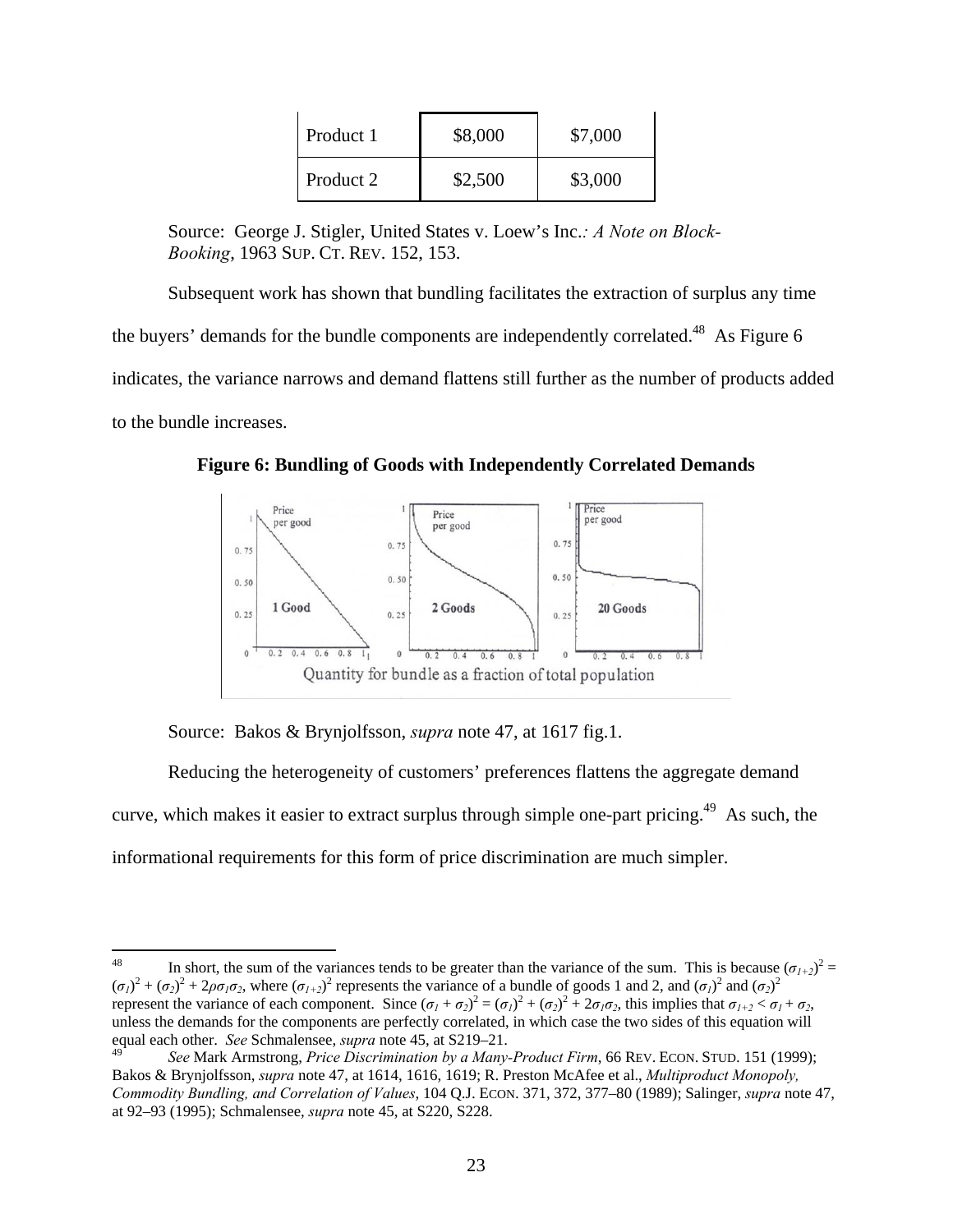| Product 1 | \$8,000 | \$7,000 |
|-----------|---------|---------|
| Product 2 | \$2,500 | \$3,000 |

Source: George J. Stigler, United States v. Loew's Inc.*: A Note on Block-Booking*, 1963 SUP. CT. REV. 152, 153.

 Subsequent work has shown that bundling facilitates the extraction of surplus any time the buyers' demands for the bundle components are independently correlated.<sup>48</sup> As Figure 6 indicates, the variance narrows and demand flattens still further as the number of products added to the bundle increases.

**Figure 6: Bundling of Goods with Independently Correlated Demands** 



Source: Bakos & Brynjolfsson, *supra* note 47, at 1617 fig.1.

 Reducing the heterogeneity of customers' preferences flattens the aggregate demand curve, which makes it easier to extract surplus through simple one-part pricing.<sup>49</sup> As such, the informational requirements for this form of price discrimination are much simpler.

<sup>48</sup> <sup>48</sup> In short, the sum of the variances tends to be greater than the variance of the sum. This is because  $(\sigma_{1+2})^2$  =  $(\sigma_1)^2 + (\sigma_2)^2 + 2\rho\sigma_1\sigma_2$ , where  $(\sigma_{1+2})^2$  represents the variance of a bundle of goods 1 and 2, and  $(\sigma_1)^2$  and  $(\sigma_2)^2$ represent the variance of each component. Since  $(\sigma_1 + \sigma_2)^2 = (\sigma_1)^2 + (\sigma_2)^2 + 2\sigma_1\sigma_2$ , this implies that  $\sigma_{1+2} < \sigma_1 + \sigma_2$ , unless the demands for the components are perfectly correlated, in which case the two sides of this equation will equal each other. *See* Schmalensee, *supra* note 45, at S219–21.

<sup>49</sup> *See* Mark Armstrong, *Price Discrimination by a Many-Product Firm*, 66 REV. ECON. STUD. 151 (1999); Bakos & Brynjolfsson, *supra* note 47, at 1614, 1616, 1619; R. Preston McAfee et al., *Multiproduct Monopoly, Commodity Bundling, and Correlation of Values*, 104 Q.J. ECON. 371, 372, 377–80 (1989); Salinger, *supra* note 47, at 92–93 (1995); Schmalensee, *supra* note 45, at S220, S228.